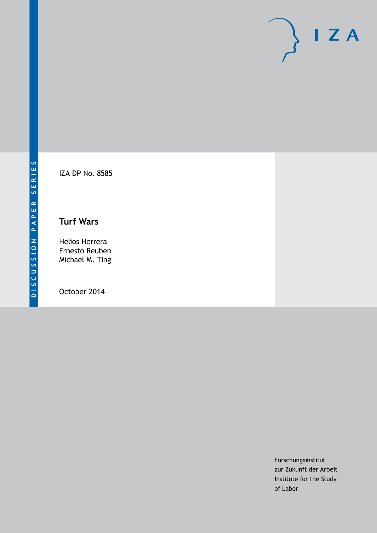

IZA DP No. 8585

# **Turf Wars**

Helios Herrera Ernesto Reuben Michael M. Ting

October 2014

Forschungsinstitut zur Zukunft der Arbeit Institute for the Study of Labor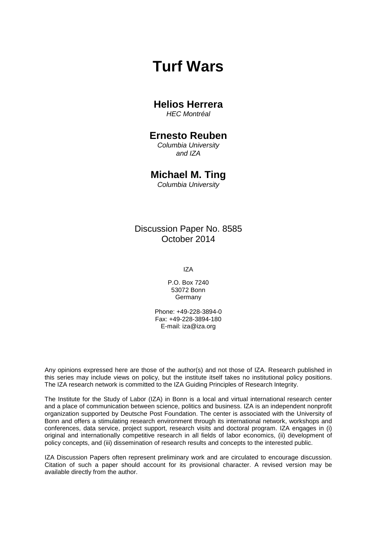# **Turf Wars**

# **Helios Herrera**

*HEC Montréal*

# **Ernesto Reuben**

*Columbia University and IZA*

# **Michael M. Ting**

*Columbia University*

# Discussion Paper No. 8585 October 2014

IZA

P.O. Box 7240 53072 Bonn Germany

Phone: +49-228-3894-0 Fax: +49-228-3894-180 E-mail: [iza@iza.org](mailto:iza@iza.org)

Any opinions expressed here are those of the author(s) and not those of IZA. Research published in this series may include views on policy, but the institute itself takes no institutional policy positions. The IZA research network is committed to the IZA Guiding Principles of Research Integrity.

The Institute for the Study of Labor (IZA) in Bonn is a local and virtual international research center and a place of communication between science, politics and business. IZA is an independent nonprofit organization supported by Deutsche Post Foundation. The center is associated with the University of Bonn and offers a stimulating research environment through its international network, workshops and conferences, data service, project support, research visits and doctoral program. IZA engages in (i) original and internationally competitive research in all fields of labor economics, (ii) development of policy concepts, and (iii) dissemination of research results and concepts to the interested public.

<span id="page-1-0"></span>IZA Discussion Papers often represent preliminary work and are circulated to encourage discussion. Citation of such a paper should account for its provisional character. A revised version may be available directly from the author.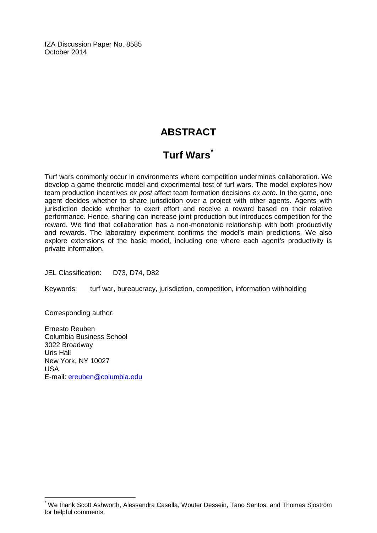IZA Discussion Paper No. 8585 October 2014

# **ABSTRACT**

# **Turf Wars[\\*](#page-1-0)**

Turf wars commonly occur in environments where competition undermines collaboration. We develop a game theoretic model and experimental test of turf wars. The model explores how team production incentives *ex post* affect team formation decisions *ex ante*. In the game, one agent decides whether to share jurisdiction over a project with other agents. Agents with jurisdiction decide whether to exert effort and receive a reward based on their relative performance. Hence, sharing can increase joint production but introduces competition for the reward. We find that collaboration has a non-monotonic relationship with both productivity and rewards. The laboratory experiment confirms the model's main predictions. We also explore extensions of the basic model, including one where each agent's productivity is private information.

JEL Classification: D73, D74, D82

Keywords: turf war, bureaucracy, jurisdiction, competition, information withholding

Corresponding author:

Ernesto Reuben Columbia Business School 3022 Broadway Uris Hall New York, NY 10027 USA E-mail: [ereuben@columbia.edu](mailto:ereuben@columbia.edu)

We thank Scott Ashworth, Alessandra Casella, Wouter Dessein, Tano Santos, and Thomas Sjöström for helpful comments.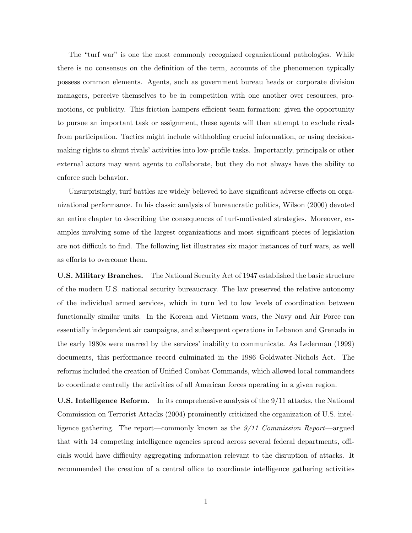The "turf war" is one the most commonly recognized organizational pathologies. While there is no consensus on the definition of the term, accounts of the phenomenon typically possess common elements. Agents, such as government bureau heads or corporate division managers, perceive themselves to be in competition with one another over resources, promotions, or publicity. This friction hampers efficient team formation: given the opportunity to pursue an important task or assignment, these agents will then attempt to exclude rivals from participation. Tactics might include withholding crucial information, or using decisionmaking rights to shunt rivals' activities into low-profile tasks. Importantly, principals or other external actors may want agents to collaborate, but they do not always have the ability to enforce such behavior.

Unsurprisingly, turf battles are widely believed to have significant adverse effects on organizational performance. In his classic analysis of bureaucratic politics, [Wilson](#page-41-0) [\(2000\)](#page-41-0) devoted an entire chapter to describing the consequences of turf-motivated strategies. Moreover, examples involving some of the largest organizations and most significant pieces of legislation are not difficult to find. The following list illustrates six major instances of turf wars, as well as efforts to overcome them.

U.S. Military Branches. The National Security Act of 1947 established the basic structure of the modern U.S. national security bureaucracy. The law preserved the relative autonomy of the individual armed services, which in turn led to low levels of coordination between functionally similar units. In the Korean and Vietnam wars, the Navy and Air Force ran essentially independent air campaigns, and subsequent operations in Lebanon and Grenada in the early 1980s were marred by the services' inability to communicate. As [Lederman](#page-40-0) [\(1999\)](#page-40-0) documents, this performance record culminated in the 1986 Goldwater-Nichols Act. The reforms included the creation of Unified Combat Commands, which allowed local commanders to coordinate centrally the activities of all American forces operating in a given region.

U.S. Intelligence Reform. In its comprehensive analysis of the 9/11 attacks, the [National](#page-40-1) [Commission on Terrorist Attacks](#page-40-1) [\(2004\)](#page-40-1) prominently criticized the organization of U.S. intelligence gathering. The report—commonly known as the 9/11 Commission Report—argued that with 14 competing intelligence agencies spread across several federal departments, officials would have difficulty aggregating information relevant to the disruption of attacks. It recommended the creation of a central office to coordinate intelligence gathering activities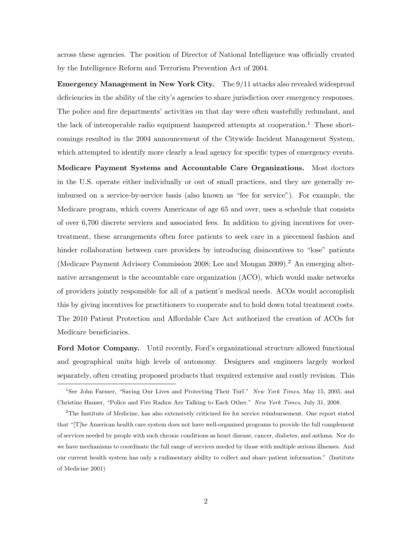across these agencies. The position of Director of National Intelligence was officially created by the Intelligence Reform and Terrorism Prevention Act of 2004.

Emergency Management in New York City. The 9/11 attacks also revealed widespread deficiencies in the ability of the city's agencies to share jurisdiction over emergency responses. The police and fire departments' activities on that day were often wastefully redundant, and the lack of interoperable radio equipment hampered attempts at cooperation.<sup>1</sup> These shortcomings resulted in the 2004 announcement of the Citywide Incident Management System, which attempted to identify more clearly a lead agency for specific types of emergency events.

Medicare Payment Systems and Accountable Care Organizations. Most doctors in the U.S. operate either individually or out of small practices, and they are generally reimbursed on a service-by-service basis (also known as "fee for service"). For example, the Medicare program, which covers Americans of age 65 and over, uses a schedule that consists of over 6,700 discrete services and associated fees. In addition to giving incentives for overtreatment, these arrangements often force patients to seek care in a piecemeal fashion and hinder collaboration between care providers by introducing disincentives to "lose" patients [\(Medicare Payment Advisory Commission](#page-40-2) [2008;](#page-40-2) [Lee and Mongan](#page-40-3) [2009\)](#page-40-3).<sup>2</sup> An emerging alternative arrangement is the accountable care organization (ACO), which would make networks of providers jointly responsible for all of a patient's medical needs. ACOs would accomplish this by giving incentives for practitioners to cooperate and to hold down total treatment costs. The 2010 Patient Protection and Affordable Care Act authorized the creation of ACOs for Medicare beneficiaries.

Ford Motor Company. Until recently, Ford's organizational structure allowed functional and geographical units high levels of autonomy. Designers and engineers largely worked separately, often creating proposed products that required extensive and costly revision. This

<sup>&</sup>lt;sup>1</sup>See John Farmer, "Saving Our Lives and Protecting Their Turf." New York Times, May 15, 2005, and Christine Hauser, "Police and Fire Radios Are Talking to Each Other." New York Times, July 31, 2008.

<sup>&</sup>lt;sup>2</sup>The Institute of Medicine, has also extensively criticized fee for service reimbursement. One report stated that "[T]he American health care system does not have well-organized programs to provide the full complement of services needed by people with such chronic conditions as heart disease, cancer, diabetes, and asthma. Nor do we have mechanisms to coordinate the full range of services needed by those with multiple serious illnesses. And our current health system has only a rudimentary ability to collect and share patient information." [\(Institute](#page-39-0) [of Medicine](#page-39-0) [2001\)](#page-39-0)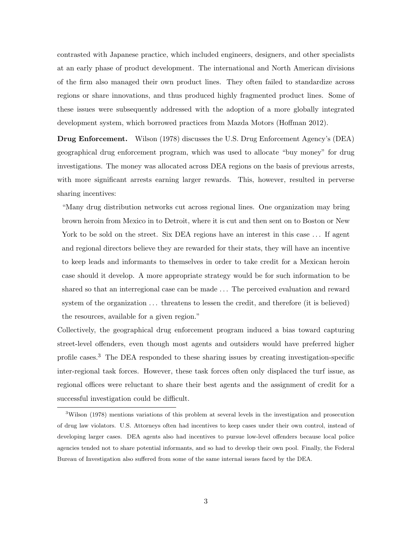contrasted with Japanese practice, which included engineers, designers, and other specialists at an early phase of product development. The international and North American divisions of the firm also managed their own product lines. They often failed to standardize across regions or share innovations, and thus produced highly fragmented product lines. Some of these issues were subsequently addressed with the adoption of a more globally integrated development system, which borrowed practices from Mazda Motors [\(Hoffman](#page-39-1) [2012\)](#page-39-1).

Drug Enforcement. [Wilson](#page-41-1) [\(1978\)](#page-41-1) discusses the U.S. Drug Enforcement Agency's (DEA) geographical drug enforcement program, which was used to allocate "buy money" for drug investigations. The money was allocated across DEA regions on the basis of previous arrests, with more significant arrests earning larger rewards. This, however, resulted in perverse sharing incentives:

"Many drug distribution networks cut across regional lines. One organization may bring brown heroin from Mexico in to Detroit, where it is cut and then sent on to Boston or New York to be sold on the street. Six DEA regions have an interest in this case ... If agent and regional directors believe they are rewarded for their stats, they will have an incentive to keep leads and informants to themselves in order to take credit for a Mexican heroin case should it develop. A more appropriate strategy would be for such information to be shared so that an interregional case can be made . . . The perceived evaluation and reward system of the organization  $\dots$  threatens to lessen the credit, and therefore (it is believed) the resources, available for a given region."

Collectively, the geographical drug enforcement program induced a bias toward capturing street-level offenders, even though most agents and outsiders would have preferred higher profile cases.<sup>3</sup> The DEA responded to these sharing issues by creating investigation-specific inter-regional task forces. However, these task forces often only displaced the turf issue, as regional offices were reluctant to share their best agents and the assignment of credit for a successful investigation could be difficult.

<sup>3</sup>[Wilson](#page-41-1) [\(1978\)](#page-41-1) mentions variations of this problem at several levels in the investigation and prosecution of drug law violators. U.S. Attorneys often had incentives to keep cases under their own control, instead of developing larger cases. DEA agents also had incentives to pursue low-level offenders because local police agencies tended not to share potential informants, and so had to develop their own pool. Finally, the Federal Bureau of Investigation also suffered from some of the same internal issues faced by the DEA.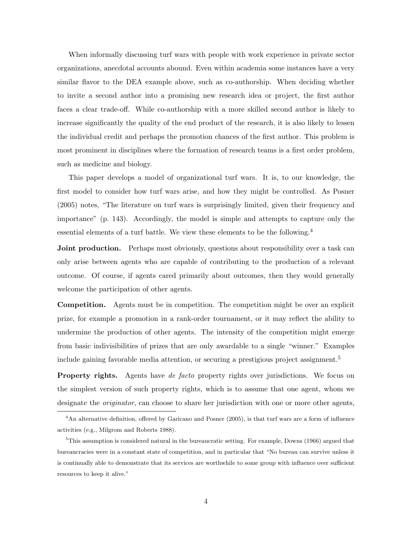When informally discussing turf wars with people with work experience in private sector organizations, anecdotal accounts abound. Even within academia some instances have a very similar flavor to the DEA example above, such as co-authorship. When deciding whether to invite a second author into a promising new research idea or project, the first author faces a clear trade-off. While co-authorship with a more skilled second author is likely to increase significantly the quality of the end product of the research, it is also likely to lessen the individual credit and perhaps the promotion chances of the first author. This problem is most prominent in disciplines where the formation of research teams is a first order problem, such as medicine and biology.

This paper develops a model of organizational turf wars. It is, to our knowledge, the first model to consider how turf wars arise, and how they might be controlled. As [Posner](#page-40-4) [\(2005\)](#page-40-4) notes, "The literature on turf wars is surprisingly limited, given their frequency and importance" (p. 143). Accordingly, the model is simple and attempts to capture only the essential elements of a turf battle. We view these elements to be the following.<sup>4</sup>

**Joint production.** Perhaps most obviously, questions about responsibility over a task can only arise between agents who are capable of contributing to the production of a relevant outcome. Of course, if agents cared primarily about outcomes, then they would generally welcome the participation of other agents.

Competition. Agents must be in competition. The competition might be over an explicit prize, for example a promotion in a rank-order tournament, or it may reflect the ability to undermine the production of other agents. The intensity of the competition might emerge from basic indivisibilities of prizes that are only awardable to a single "winner." Examples include gaining favorable media attention, or securing a prestigious project assignment.<sup>5</sup>

Property rights. Agents have *de facto* property rights over jurisdictions. We focus on the simplest version of such property rights, which is to assume that one agent, whom we designate the *originator*, can choose to share her jurisdiction with one or more other agents,

<sup>&</sup>lt;sup>4</sup>An alternative definition, offered by [Garicano and Posner](#page-39-2) [\(2005\)](#page-39-2), is that turf wars are a form of influence activities (e.g., [Milgrom and Roberts](#page-40-5) [1988\)](#page-40-5).

 $5$ This assumption is considered natural in the bureaucratic setting. For example, [Downs](#page-39-3) [\(1966\)](#page-39-3) argued that bureaucracies were in a constant state of competition, and in particular that "No bureau can survive unless it is continually able to demonstrate that its services are worthwhile to some group with influence over sufficient resources to keep it alive."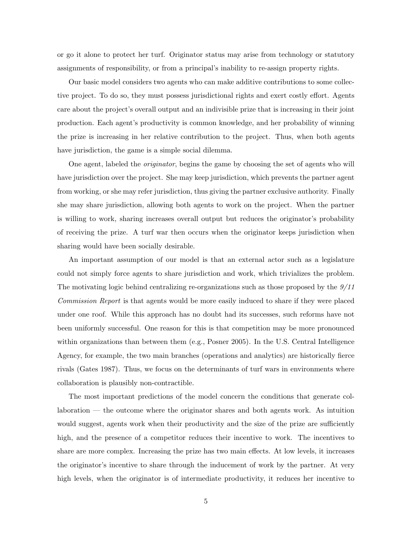or go it alone to protect her turf. Originator status may arise from technology or statutory assignments of responsibility, or from a principal's inability to re-assign property rights.

Our basic model considers two agents who can make additive contributions to some collective project. To do so, they must possess jurisdictional rights and exert costly effort. Agents care about the project's overall output and an indivisible prize that is increasing in their joint production. Each agent's productivity is common knowledge, and her probability of winning the prize is increasing in her relative contribution to the project. Thus, when both agents have jurisdiction, the game is a simple social dilemma.

One agent, labeled the originator, begins the game by choosing the set of agents who will have jurisdiction over the project. She may keep jurisdiction, which prevents the partner agent from working, or she may refer jurisdiction, thus giving the partner exclusive authority. Finally she may share jurisdiction, allowing both agents to work on the project. When the partner is willing to work, sharing increases overall output but reduces the originator's probability of receiving the prize. A turf war then occurs when the originator keeps jurisdiction when sharing would have been socially desirable.

An important assumption of our model is that an external actor such as a legislature could not simply force agents to share jurisdiction and work, which trivializes the problem. The motivating logic behind centralizing re-organizations such as those proposed by the 9/11 Commission Report is that agents would be more easily induced to share if they were placed under one roof. While this approach has no doubt had its successes, such reforms have not been uniformly successful. One reason for this is that competition may be more pronounced within organizations than between them (e.g., [Posner](#page-40-4) [2005\)](#page-40-4). In the U.S. Central Intelligence Agency, for example, the two main branches (operations and analytics) are historically fierce rivals [\(Gates](#page-39-4) [1987\)](#page-39-4). Thus, we focus on the determinants of turf wars in environments where collaboration is plausibly non-contractible.

The most important predictions of the model concern the conditions that generate collaboration — the outcome where the originator shares and both agents work. As intuition would suggest, agents work when their productivity and the size of the prize are sufficiently high, and the presence of a competitor reduces their incentive to work. The incentives to share are more complex. Increasing the prize has two main effects. At low levels, it increases the originator's incentive to share through the inducement of work by the partner. At very high levels, when the originator is of intermediate productivity, it reduces her incentive to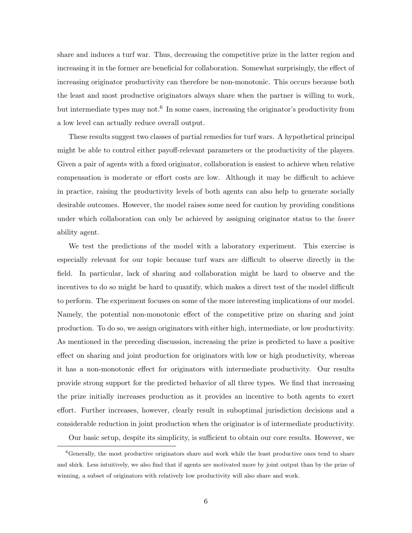share and induces a turf war. Thus, decreasing the competitive prize in the latter region and increasing it in the former are beneficial for collaboration. Somewhat surprisingly, the effect of increasing originator productivity can therefore be non-monotonic. This occurs because both the least and most productive originators always share when the partner is willing to work, but intermediate types may not.<sup>6</sup> In some cases, increasing the originator's productivity from a low level can actually reduce overall output.

These results suggest two classes of partial remedies for turf wars. A hypothetical principal might be able to control either payoff-relevant parameters or the productivity of the players. Given a pair of agents with a fixed originator, collaboration is easiest to achieve when relative compensation is moderate or effort costs are low. Although it may be difficult to achieve in practice, raising the productivity levels of both agents can also help to generate socially desirable outcomes. However, the model raises some need for caution by providing conditions under which collaboration can only be achieved by assigning originator status to the *lower* ability agent.

We test the predictions of the model with a laboratory experiment. This exercise is especially relevant for our topic because turf wars are difficult to observe directly in the field. In particular, lack of sharing and collaboration might be hard to observe and the incentives to do so might be hard to quantify, which makes a direct test of the model difficult to perform. The experiment focuses on some of the more interesting implications of our model. Namely, the potential non-monotonic effect of the competitive prize on sharing and joint production. To do so, we assign originators with either high, intermediate, or low productivity. As mentioned in the preceding discussion, increasing the prize is predicted to have a positive effect on sharing and joint production for originators with low or high productivity, whereas it has a non-monotonic effect for originators with intermediate productivity. Our results provide strong support for the predicted behavior of all three types. We find that increasing the prize initially increases production as it provides an incentive to both agents to exert effort. Further increases, however, clearly result in suboptimal jurisdiction decisions and a considerable reduction in joint production when the originator is of intermediate productivity.

Our basic setup, despite its simplicity, is sufficient to obtain our core results. However, we

 ${}^{6}$ Generally, the most productive originators share and work while the least productive ones tend to share and shirk. Less intuitively, we also find that if agents are motivated more by joint output than by the prize of winning, a subset of originators with relatively low productivity will also share and work.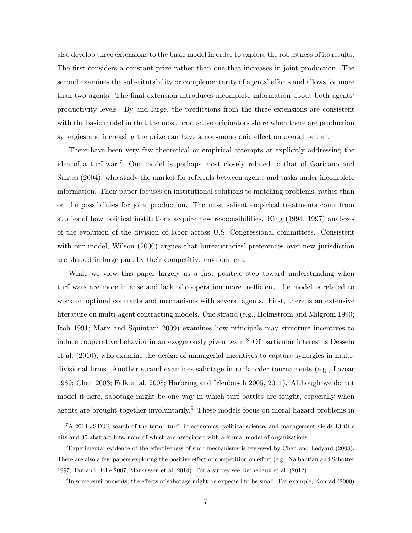also develop three extensions to the basic model in order to explore the robustness of its results. The first considers a constant prize rather than one that increases in joint production. The second examines the substitutability or complementarity of agents' efforts and allows for more than two agents. The final extension introduces incomplete information about both agents' productivity levels. By and large, the predictions from the three extensions are consistent with the basic model in that the most productive originators share when there are production synergies and increasing the prize can have a non-monotonic effect on overall output.

There have been very few theoretical or empirical attempts at explicitly addressing the idea of a turf war.<sup>7</sup> Our model is perhaps most closely related to that of [Garicano and](#page-39-5) [Santos](#page-39-5) [\(2004\)](#page-39-5), who study the market for referrals between agents and tasks under incomplete information. Their paper focuses on institutional solutions to matching problems, rather than on the possibilities for joint production. The most salient empirical treatments come from studies of how political institutions acquire new responsibilities. [King](#page-40-6) [\(1994,](#page-40-6) [1997\)](#page-40-7) analyzes of the evolution of the division of labor across U.S. Congressional committees. Consistent with our model, [Wilson](#page-41-0) [\(2000\)](#page-41-0) argues that bureaucracies' preferences over new jurisdiction are shaped in large part by their competitive environment.

While we view this paper largely as a first positive step toward understanding when turf wars are more intense and lack of cooperation more inefficient, the model is related to work on optimal contracts and mechanisms with several agents. First, there is an extensive literature on multi-agent contracting models. One strand (e.g., Holmström and Milgrom [1990;](#page-39-6) [Itoh](#page-40-8) [1991;](#page-40-8) [Marx and Squintani](#page-40-9) [2009\)](#page-40-9) examines how principals may structure incentives to induce cooperative behavior in an exogenously given team.<sup>8</sup> Of particular interest is [Dessein](#page-38-0) [et al.](#page-38-0) [\(2010\)](#page-38-0), who examine the design of managerial incentives to capture synergies in multidivisional firms. Another strand examines sabotage in rank-order tournaments (e.g., [Lazear](#page-40-10) [1989;](#page-40-10) [Chen](#page-38-1) [2003;](#page-38-1) [Falk et al.](#page-39-7) [2008;](#page-39-7) [Harbring and Irlenbusch](#page-39-8) [2005,](#page-39-8) [2011\)](#page-39-9). Although we do not model it here, sabotage might be one way in which turf battles are fought, especially when agents are brought together involuntarily.<sup>9</sup> These models focus on moral hazard problems in

<sup>7</sup>A 2014 JSTOR search of the term "turf" in economics, political science, and management yields 13 title hits and 35 abstract hits, none of which are associated with a formal model of organizations.

<sup>8</sup>Experimental evidence of the effectiveness of such mechanisms is reviewed by [Chen and Ledyard](#page-38-2) [\(2008\)](#page-38-2). There are also a few papers exploring the positive effect of competition on effort (e.g., [Nalbantian and Schotter](#page-40-11) [1997;](#page-40-11) [Tan and Bolle](#page-41-2) [2007;](#page-41-2) [Markussen et al.](#page-40-12) [2014\)](#page-40-12). For a survey see [Dechenaux et al.](#page-38-3) [\(2012\)](#page-38-3).

<sup>&</sup>lt;sup>9</sup>In some environments, the effects of sabotage might be expected to be small. For example, [Konrad](#page-40-13) [\(2000\)](#page-40-13)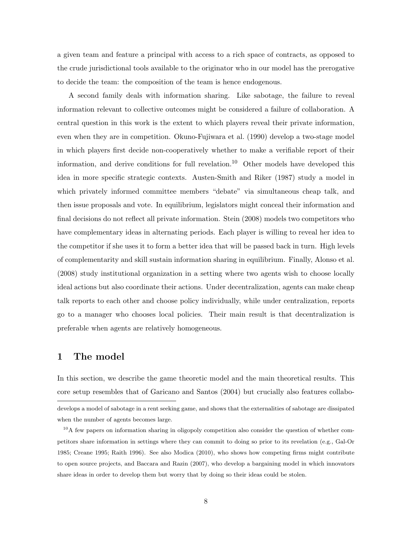a given team and feature a principal with access to a rich space of contracts, as opposed to the crude jurisdictional tools available to the originator who in our model has the prerogative to decide the team: the composition of the team is hence endogenous.

A second family deals with information sharing. Like sabotage, the failure to reveal information relevant to collective outcomes might be considered a failure of collaboration. A central question in this work is the extent to which players reveal their private information, even when they are in competition. [Okuno-Fujiwara et al.](#page-40-14) [\(1990\)](#page-40-14) develop a two-stage model in which players first decide non-cooperatively whether to make a verifiable report of their information, and derive conditions for full revelation.<sup>10</sup> Other models have developed this idea in more specific strategic contexts. [Austen-Smith and Riker](#page-38-4) [\(1987\)](#page-38-4) study a model in which privately informed committee members "debate" via simultaneous cheap talk, and then issue proposals and vote. In equilibrium, legislators might conceal their information and final decisions do not reflect all private information. [Stein](#page-41-3) [\(2008\)](#page-41-3) models two competitors who have complementary ideas in alternating periods. Each player is willing to reveal her idea to the competitor if she uses it to form a better idea that will be passed back in turn. High levels of complementarity and skill sustain information sharing in equilibrium. Finally, [Alonso et al.](#page-38-5) [\(2008\)](#page-38-5) study institutional organization in a setting where two agents wish to choose locally ideal actions but also coordinate their actions. Under decentralization, agents can make cheap talk reports to each other and choose policy individually, while under centralization, reports go to a manager who chooses local policies. Their main result is that decentralization is preferable when agents are relatively homogeneous.

## 1 The model

In this section, we describe the game theoretic model and the main theoretical results. This core setup resembles that of [Garicano and Santos](#page-39-5) [\(2004\)](#page-39-5) but crucially also features collabo-

develops a model of sabotage in a rent seeking game, and shows that the externalities of sabotage are dissipated when the number of agents becomes large.

 $10A$  few papers on information sharing in oligopoly competition also consider the question of whether competitors share information in settings where they can commit to doing so prior to its revelation (e.g., [Gal-Or](#page-39-10) [1985;](#page-39-10) [Creane](#page-38-6) [1995;](#page-38-6) [Raith](#page-40-15) [1996\)](#page-40-15). See also [Modica](#page-40-16) [\(2010\)](#page-40-16), who shows how competing firms might contribute to open source projects, and [Baccara and Razin](#page-38-7) [\(2007\)](#page-38-7), who develop a bargaining model in which innovators share ideas in order to develop them but worry that by doing so their ideas could be stolen.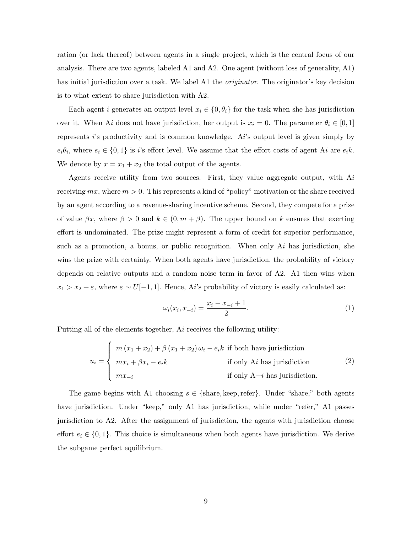ration (or lack thereof) between agents in a single project, which is the central focus of our analysis. There are two agents, labeled A1 and A2. One agent (without loss of generality, A1) has initial jurisdiction over a task. We label A1 the *originator*. The originator's key decision is to what extent to share jurisdiction with A2.

Each agent i generates an output level  $x_i \in \{0, \theta_i\}$  for the task when she has jurisdiction over it. When Ai does not have jurisdiction, her output is  $x_i = 0$ . The parameter  $\theta_i \in [0, 1]$ represents i's productivity and is common knowledge. Ai's output level is given simply by  $e_i\theta_i$ , where  $e_i \in \{0,1\}$  is i's effort level. We assume that the effort costs of agent Ai are  $e_i k$ . We denote by  $x = x_1 + x_2$  the total output of the agents.

Agents receive utility from two sources. First, they value aggregate output, with  $Ai$ receiving  $mx$ , where  $m > 0$ . This represents a kind of "policy" motivation or the share received by an agent according to a revenue-sharing incentive scheme. Second, they compete for a prize of value  $\beta x$ , where  $\beta > 0$  and  $k \in (0, m + \beta)$ . The upper bound on k ensures that exerting effort is undominated. The prize might represent a form of credit for superior performance, such as a promotion, a bonus, or public recognition. When only  $Ai$  has jurisdiction, she wins the prize with certainty. When both agents have jurisdiction, the probability of victory depends on relative outputs and a random noise term in favor of A2. A1 then wins when  $x_1 > x_2 + \varepsilon$ , where  $\varepsilon \sim U[-1, 1]$ . Hence, Ai's probability of victory is easily calculated as:

$$
\omega_i(x_i, x_{-i}) = \frac{x_i - x_{-i} + 1}{2}.
$$
\n(1)

Putting all of the elements together, Ai receives the following utility:

<span id="page-11-0"></span>
$$
u_i = \begin{cases} m(x_1 + x_2) + \beta(x_1 + x_2)\omega_i - e_i k \text{ if both have jurisdiction} \\ mx_i + \beta x_i - e_i k \text{ if only A}i \text{ has jurisdiction} \\ mx_{-i} \text{ if only A}-i \text{ has jurisdiction} \end{cases}
$$
 (2)

The game begins with A1 choosing  $s \in \{\text{share}, \text{keep}, \text{refer}\}.$  Under "share," both agents have jurisdiction. Under "keep," only A1 has jurisdiction, while under "refer," A1 passes jurisdiction to A2. After the assignment of jurisdiction, the agents with jurisdiction choose effort  $e_i \in \{0, 1\}$ . This choice is simultaneous when both agents have jurisdiction. We derive the subgame perfect equilibrium.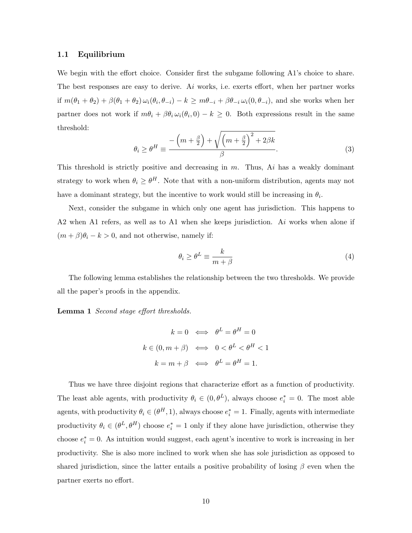### 1.1 Equilibrium

We begin with the effort choice. Consider first the subgame following A1's choice to share. The best responses are easy to derive. Ai works, i.e. exerts effort, when her partner works if  $m(\theta_1 + \theta_2) + \beta(\theta_1 + \theta_2)\omega_i(\theta_i, \theta_{-i}) - k \geq m\theta_{-i} + \beta\theta_{-i}\omega_i(0, \theta_{-i})$ , and she works when her partner does not work if  $m\theta_i + \beta \theta_i \omega_i(\theta_i, 0) - k \geq 0$ . Both expressions result in the same threshold:

$$
\theta_i \ge \theta^H \equiv \frac{-\left(m + \frac{\beta}{2}\right) + \sqrt{\left(m + \frac{\beta}{2}\right)^2 + 2\beta k}}{\beta}.
$$
\n(3)

This threshold is strictly positive and decreasing in  $m$ . Thus,  $Ai$  has a weakly dominant strategy to work when  $\theta_i \geq \theta^H$ . Note that with a non-uniform distribution, agents may not have a dominant strategy, but the incentive to work would still be increasing in  $\theta_i$ .

Next, consider the subgame in which only one agent has jurisdiction. This happens to A2 when A1 refers, as well as to A1 when she keeps jurisdiction. Ai works when alone if  $(m + \beta)\theta_i - k > 0$ , and not otherwise, namely if:

$$
\theta_i \ge \theta^L \equiv \frac{k}{m+\beta} \tag{4}
$$

The following lemma establishes the relationship between the two thresholds. We provide all the paper's proofs in the appendix.

Lemma 1 Second stage effort thresholds.

$$
k = 0 \iff \theta^L = \theta^H = 0
$$
  

$$
k \in (0, m + \beta) \iff 0 < \theta^L < \theta^H < 1
$$
  

$$
k = m + \beta \iff \theta^L = \theta^H = 1.
$$

Thus we have three disjoint regions that characterize effort as a function of productivity. The least able agents, with productivity  $\theta_i \in (0, \theta^L)$ , always choose  $e_i^* = 0$ . The most able agents, with productivity  $\theta_i \in (\theta^H, 1)$ , always choose  $e_i^* = 1$ . Finally, agents with intermediate productivity  $\theta_i \in (\theta^L, \theta^H)$  choose  $e_i^* = 1$  only if they alone have jurisdiction, otherwise they choose  $e_i^* = 0$ . As intuition would suggest, each agent's incentive to work is increasing in her productivity. She is also more inclined to work when she has sole jurisdiction as opposed to shared jurisdiction, since the latter entails a positive probability of losing  $\beta$  even when the partner exerts no effort.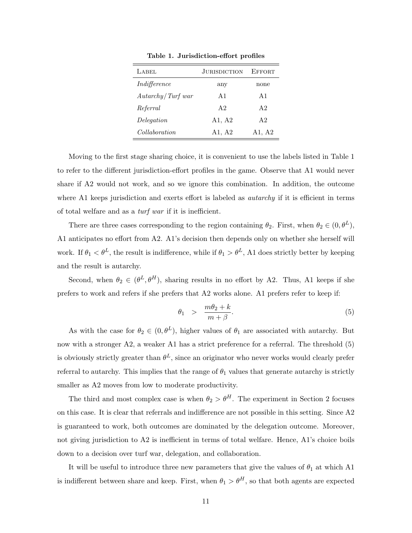<span id="page-13-0"></span>

| LABEL               | <b>JURISDICTION</b> | <b>EFFORT</b>  |
|---------------------|---------------------|----------------|
| Indifference        | any                 | none           |
| Autarchy / Turf war | A $1$               | A <sub>1</sub> |
| Referral            | A2                  | A <sub>2</sub> |
| Delegation          | A1, A2              | A <sub>2</sub> |
| Collaboration       | A1, A2              | A1, A2         |

Table 1. Jurisdiction-effort profiles

Moving to the first stage sharing choice, it is convenient to use the labels listed in Table [1](#page-13-0) to refer to the different jurisdiction-effort profiles in the game. Observe that A1 would never share if A2 would not work, and so we ignore this combination. In addition, the outcome where A1 keeps jurisdiction and exerts effort is labeled as *autarchy* if it is efficient in terms of total welfare and as a turf war if it is inefficient.

There are three cases corresponding to the region containing  $\theta_2$ . First, when  $\theta_2 \in (0, \theta^L)$ , A1 anticipates no effort from A2. A1's decision then depends only on whether she herself will work. If  $\theta_1 < \theta^L$ , the result is indifference, while if  $\theta_1 > \theta^L$ , A1 does strictly better by keeping and the result is autarchy.

Second, when  $\theta_2 \in (\theta^L, \theta^H)$ , sharing results in no effort by A2. Thus, A1 keeps if she prefers to work and refers if she prefers that A2 works alone. A1 prefers refer to keep if:

<span id="page-13-1"></span>
$$
\theta_1 > \frac{m\theta_2 + k}{m + \beta}.\tag{5}
$$

As with the case for  $\theta_2 \in (0, \theta^L)$ , higher values of  $\theta_1$  are associated with autarchy. But now with a stronger A2, a weaker A1 has a strict preference for a referral. The threshold  $(5)$ is obviously strictly greater than  $\theta^L$ , since an originator who never works would clearly prefer referral to autarchy. This implies that the range of  $\theta_1$  values that generate autarchy is strictly smaller as A2 moves from low to moderate productivity.

The third and most complex case is when  $\theta_2 > \theta^H$  $\theta_2 > \theta^H$  $\theta_2 > \theta^H$ . The experiment in Section 2 focuses on this case. It is clear that referrals and indifference are not possible in this setting. Since A2 is guaranteed to work, both outcomes are dominated by the delegation outcome. Moreover, not giving jurisdiction to A2 is inefficient in terms of total welfare. Hence, A1's choice boils down to a decision over turf war, delegation, and collaboration.

It will be useful to introduce three new parameters that give the values of  $\theta_1$  at which A1 is indifferent between share and keep. First, when  $\theta_1 > \theta^H$ , so that both agents are expected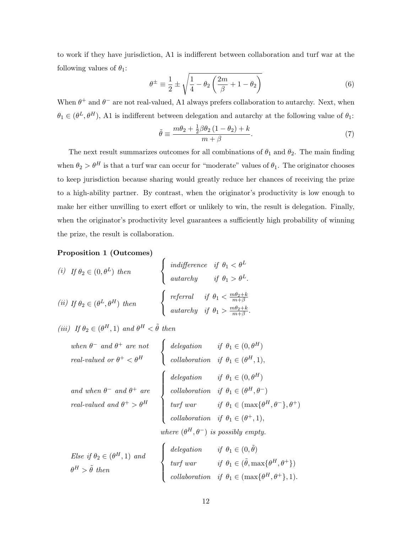to work if they have jurisdiction, A1 is indifferent between collaboration and turf war at the following values of  $\theta_1$ :

$$
\theta^{\pm} \equiv \frac{1}{2} \pm \sqrt{\frac{1}{4} - \theta_2 \left(\frac{2m}{\beta} + 1 - \theta_2\right)}\tag{6}
$$

When  $\theta^+$  and  $\theta^-$  are not real-valued, A1 always prefers collaboration to autarchy. Next, when  $\theta_1 \in (\theta^L, \theta^H)$ , A1 is indifferent between delegation and autarchy at the following value of  $\theta_1$ :

$$
\tilde{\theta} \equiv \frac{m\theta_2 + \frac{1}{2}\beta\theta_2\left(1 - \theta_2\right) + k}{m + \beta}.\tag{7}
$$

The next result summarizes outcomes for all combinations of  $\theta_1$  and  $\theta_2$ . The main finding when  $\theta_2 > \theta^H$  is that a turf war can occur for "moderate" values of  $\theta_1$ . The originator chooses to keep jurisdiction because sharing would greatly reduce her chances of receiving the prize to a high-ability partner. By contrast, when the originator's productivity is low enough to make her either unwilling to exert effort or unlikely to win, the result is delegation. Finally, when the originator's productivity level guarantees a sufficiently high probability of winning the prize, the result is collaboration.

<span id="page-14-0"></span>Proposition 1 (Outcomes)

(i) If 
$$
\theta_2 \in (0, \theta^L)
$$
 then 
$$
\begin{cases} \text{indifference} & \text{if } \theta_1 < \theta^L \\ \text{autarchy} & \text{if } \theta_1 > \theta^L. \end{cases}
$$
  
\n(ii) If  $\theta_2 \in (\theta^L, \theta^H)$  then 
$$
\begin{cases} \text{refernal} & \text{if } \theta_1 < \frac{m\theta_2 + k}{m + \beta} \\ \text{autarchy} & \text{if } \theta_1 > \frac{m\theta_2 + k}{m + \beta}. \end{cases}
$$

 $\epsilon$ 

(iii) If  $\theta_2 \in (\theta^H, 1)$  and  $\theta^H < \tilde{\theta}$  then

| when $\theta^-$ and $\theta^+$ are not<br>real-valued or $\theta^+ < \theta^H$<br>delegation if $\theta_1 \in (0, \theta^H)$<br>collaboration if $\theta_1 \in (\theta^H, 1)$ ,                                                                                                                                                                                                                                                                                                        |  |
|----------------------------------------------------------------------------------------------------------------------------------------------------------------------------------------------------------------------------------------------------------------------------------------------------------------------------------------------------------------------------------------------------------------------------------------------------------------------------------------|--|
|                                                                                                                                                                                                                                                                                                                                                                                                                                                                                        |  |
| $\label{eq:1} \begin{array}{ll} \mbox{and when $\theta^-$ and $\theta^+$ are} \\ \mbox{real-valued and $\theta^+$ > $\theta^H$} \end{array} \left\{ \begin{array}{ll} \mbox{delegation} & \mbox{if $\theta_1 \in (0, \theta^H)$} \\ \mbox{collaboration} & \mbox{if $\theta_1 \in (\theta^H, \theta^-\)$} \\ \mbox{turf war} & \mbox{if $\theta_1 \in (\max\{\theta^H, \theta^-\}, \theta^+\)$} \\ \mbox{collaboration} & \mbox{if $\theta_1 \in (\theta^+, 1)$}, \end{array} \right.$ |  |
|                                                                                                                                                                                                                                                                                                                                                                                                                                                                                        |  |
|                                                                                                                                                                                                                                                                                                                                                                                                                                                                                        |  |
|                                                                                                                                                                                                                                                                                                                                                                                                                                                                                        |  |
|                                                                                                                                                                                                                                                                                                                                                                                                                                                                                        |  |

where  $(\theta^H, \theta^-)$  is possibly empty.

| Else if $\theta_2 \in (\theta^H, 1)$ and | delegation if $\theta_1 \in (0, \tilde{\theta})$                |                                                                   |
|------------------------------------------|-----------------------------------------------------------------|-------------------------------------------------------------------|
| $\theta^H > \tilde{\theta}$ then         | $\begin{cases} \text{turf} \\ \text{w} \\ \text{r} \end{cases}$ | if $\theta_1 \in (\tilde{\theta}, \max\{\theta^H, \theta^+\})$    |
|                                          |                                                                 | collaboration if $\theta_1 \in (\max\{\theta^H, \theta^+\}, 1)$ . |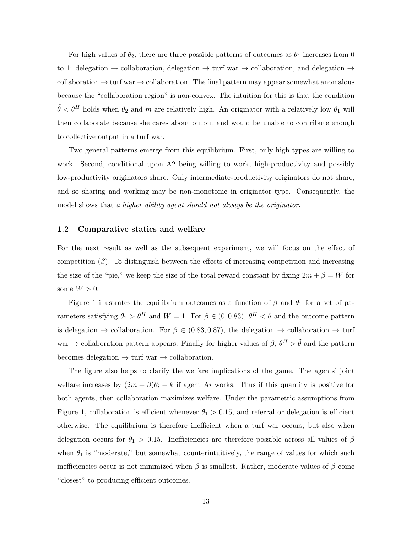For high values of  $\theta_2$ , there are three possible patterns of outcomes as  $\theta_1$  increases from 0 to 1: delegation  $\rightarrow$  collaboration, delegation  $\rightarrow$  turf war  $\rightarrow$  collaboration, and delegation  $\rightarrow$ collaboration  $\rightarrow$  turf war  $\rightarrow$  collaboration. The final pattern may appear somewhat anomalous because the "collaboration region" is non-convex. The intuition for this is that the condition  $\tilde{\theta} < \theta^H$  holds when  $\theta_2$  and m are relatively high. An originator with a relatively low  $\theta_1$  will then collaborate because she cares about output and would be unable to contribute enough to collective output in a turf war.

Two general patterns emerge from this equilibrium. First, only high types are willing to work. Second, conditional upon A2 being willing to work, high-productivity and possibly low-productivity originators share. Only intermediate-productivity originators do not share, and so sharing and working may be non-monotonic in originator type. Consequently, the model shows that a higher ability agent should not always be the originator.

#### <span id="page-15-0"></span>1.2 Comparative statics and welfare

For the next result as well as the subsequent experiment, we will focus on the effect of competition  $(\beta)$ . To distinguish between the effects of increasing competition and increasing the size of the "pie," we keep the size of the total reward constant by fixing  $2m + \beta = W$  for some  $W > 0$ .

Figure [1](#page-17-1) illustrates the equilibrium outcomes as a function of  $\beta$  and  $\theta_1$  for a set of parameters satisfying  $\theta_2 > \theta^H$  and  $W = 1$ . For  $\beta \in (0, 0.83)$ ,  $\theta^H < \tilde{\theta}$  and the outcome pattern is delegation  $\rightarrow$  collaboration. For  $\beta \in (0.83, 0.87)$ , the delegation  $\rightarrow$  collaboration  $\rightarrow$  turf war  $\rightarrow$  collaboration pattern appears. Finally for higher values of  $\beta$ ,  $\theta^H > \tilde{\theta}$  and the pattern becomes delegation  $\rightarrow$  turf war  $\rightarrow$  collaboration.

The figure also helps to clarify the welfare implications of the game. The agents' joint welfare increases by  $(2m + \beta)\theta_i - k$  if agent Ai works. Thus if this quantity is positive for both agents, then collaboration maximizes welfare. Under the parametric assumptions from Figure [1,](#page-17-1) collaboration is efficient whenever  $\theta_1 > 0.15$ , and referral or delegation is efficient otherwise. The equilibrium is therefore inefficient when a turf war occurs, but also when delegation occurs for  $\theta_1 > 0.15$ . Inefficiencies are therefore possible across all values of  $\beta$ when  $\theta_1$  is "moderate," but somewhat counterintuitively, the range of values for which such inefficiencies occur is not minimized when  $\beta$  is smallest. Rather, moderate values of  $\beta$  come "closest" to producing efficient outcomes.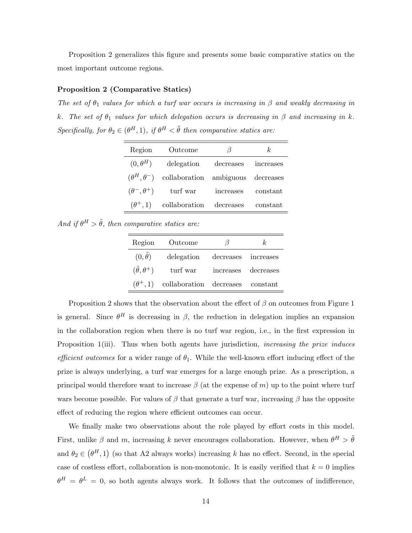Proposition [2](#page-16-0) generalizes this figure and presents some basic comparative statics on the most important outcome regions.

## <span id="page-16-0"></span>Proposition 2 (Comparative Statics)

The set of  $\theta_1$  values for which a turf war occurs is increasing in  $\beta$  and weakly decreasing in k. The set of  $\theta_1$  values for which delegation occurs is decreasing in  $\beta$  and increasing in k. Specifically, for  $\theta_2 \in (\theta^H, 1)$ , if  $\theta^H < \tilde{\theta}$  then comparative statics are:

| Outcome                            | B         | k.                                                                                  |
|------------------------------------|-----------|-------------------------------------------------------------------------------------|
| $(0, \theta^H)$<br>delegation      | decreases | increases                                                                           |
|                                    |           |                                                                                     |
| $(\theta^-, \theta^+)$<br>turf war | increases | constant                                                                            |
|                                    |           | constant                                                                            |
|                                    |           | $(\theta^H, \theta^-)$ collaboration ambiguous decreases<br>collaboration decreases |

And if  $\theta^H > \tilde{\theta}$ , then comparative statics are:

| Region                       | Outcome                          | 15                  | k,                  |
|------------------------------|----------------------------------|---------------------|---------------------|
| $(0,\theta)$                 | delegation                       | decreases increases |                     |
| $(\tilde{\theta}, \theta^+)$ | turf war                         |                     | increases decreases |
| $(\theta^+, 1)$              | collaboration decreases constant |                     |                     |

Proposition [2](#page-16-0) shows that the observation about the effect of  $\beta$  on outcomes from Figure [1](#page-17-1) is general. Since  $\theta^H$  is decreasing in  $\beta$ , the reduction in delegation implies an expansion in the collaboration region when there is no turf war region, i.e., in the first expression in Proposition [1\(](#page-14-0)iii). Thus when both agents have jurisdiction, *increasing the prize induces* efficient outcomes for a wider range of  $\theta_1$ . While the well-known effort inducing effect of the prize is always underlying, a turf war emerges for a large enough prize. As a prescription, a principal would therefore want to increase  $\beta$  (at the expense of m) up to the point where turf wars become possible. For values of  $\beta$  that generate a turf war, increasing  $\beta$  has the opposite effect of reducing the region where efficient outcomes can occur.

We finally make two observations about the role played by effort costs in this model. First, unlike  $\beta$  and m, increasing k never encourages collaboration. However, when  $\theta^H > \tilde{\theta}$ and  $\theta_2 \in (\theta^H, 1)$  (so that A2 always works) increasing k has no effect. Second, in the special case of costless effort, collaboration is non-monotonic. It is easily verified that  $k = 0$  implies  $\theta^H = \theta^L = 0$ , so both agents always work. It follows that the outcomes of indifference,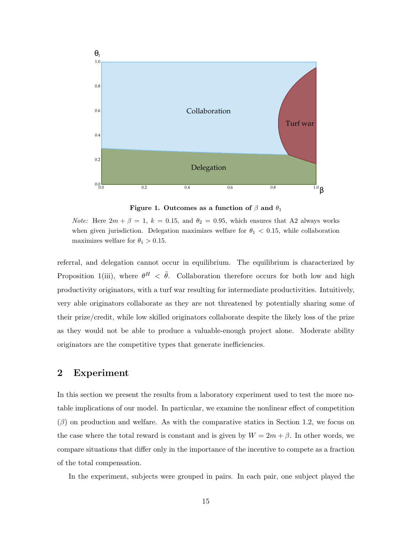<span id="page-17-1"></span>

Figure 1. Outcomes as a function of  $\beta$  and  $\theta_1$ 

*Note:* Here  $2m + \beta = 1$ ,  $k = 0.15$ , and  $\theta_2 = 0.95$ , which ensures that A2 always works when given jurisdiction. Delegation maximizes welfare for  $\theta_1 < 0.15$ , while collaboration maximizes welfare for  $\theta_1 > 0.15$ .

referral, and delegation cannot occur in equilibrium. The equilibrium is characterized by Proposition [1\(](#page-14-0)iii), where  $\theta^H$  <  $\tilde{\theta}$ . Collaboration therefore occurs for both low and high productivity originators, with a turf war resulting for intermediate productivities. Intuitively, very able originators collaborate as they are not threatened by potentially sharing some of their prize/credit, while low skilled originators collaborate despite the likely loss of the prize as they would not be able to produce a valuable-enough project alone. Moderate ability originators are the competitive types that generate inefficiencies.

## <span id="page-17-0"></span>2 Experiment

In this section we present the results from a laboratory experiment used to test the more notable implications of our model. In particular, we examine the nonlinear effect of competition  $(\beta)$  on production and welfare. As with the comparative statics in Section [1.2,](#page-15-0) we focus on the case where the total reward is constant and is given by  $W = 2m + \beta$ . In other words, we compare situations that differ only in the importance of the incentive to compete as a fraction of the total compensation.

In the experiment, subjects were grouped in pairs. In each pair, one subject played the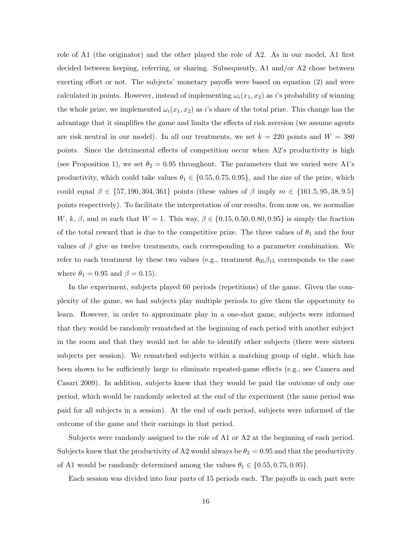role of A1 (the originator) and the other played the role of A2. As in our model, A1 first decided between keeping, referring, or sharing. Subsequently, A1 and/or A2 chose between exerting effort or not. The subjects' monetary payoffs were based on equation [\(2\)](#page-11-0) and were calculated in points. However, instead of implementing  $\omega_i(x_1, x_2)$  as i's probability of winning the whole prize, we implemented  $\omega_i(x_1, x_2)$  as i's share of the total prize. This change has the advantage that it simplifies the game and limits the effects of risk aversion (we assume agents are risk neutral in our model). In all our treatments, we set  $k = 220$  points and  $W = 380$ points. Since the detrimental effects of competition occur when A2's productivity is high (see Proposition [1\)](#page-14-0), we set  $\theta_2 = 0.95$  throughout. The parameters that we varied were A1's productivity, which could take values  $\theta_1 \in \{0.55, 0.75, 0.95\}$ , and the size of the prize, which could equal  $\beta \in \{57, 190, 304, 361\}$  points (these values of  $\beta$  imply  $m \in \{161.5, 95, 38, 9.5\}$ points respectively). To facilitate the interpretation of our results, from now on, we normalize W, k,  $\beta$ , and m such that  $W = 1$ . This way,  $\beta \in \{0.15, 0.50, 0.80, 0.95\}$  is simply the fraction of the total reward that is due to the competitive prize. The three values of  $\theta_1$  and the four values of  $\beta$  give us twelve treatments, each corresponding to a parameter combination. We refer to each treatment by these two values (e.g., treatment  $\theta_{95}\beta_{15}$  corresponds to the case where  $\theta_1 = 0.95$  and  $\beta = 0.15$ .

In the experiment, subjects played 60 periods (repetitions) of the game. Given the complexity of the game, we had subjects play multiple periods to give them the opportunity to learn. However, in order to approximate play in a one-shot game, subjects were informed that they would be randomly rematched at the beginning of each period with another subject in the room and that they would not be able to identify other subjects (there were sixteen subjects per session). We rematched subjects within a matching group of eight, which has been shown to be sufficiently large to eliminate repeated-game effects (e.g., see [Camera and](#page-38-8) [Casari](#page-38-8) [2009\)](#page-38-8). In addition, subjects knew that they would be paid the outcome of only one period, which would be randomly selected at the end of the experiment (the same period was paid for all subjects in a session). At the end of each period, subjects were informed of the outcome of the game and their earnings in that period.

Subjects were randomly assigned to the role of A1 or A2 at the beginning of each period. Subjects knew that the productivity of A2 would always be  $\theta_2 = 0.95$  and that the productivity of A1 would be randomly determined among the values  $\theta_1 \in \{0.55, 0.75, 0.95\}.$ 

Each session was divided into four parts of 15 periods each. The payoffs in each part were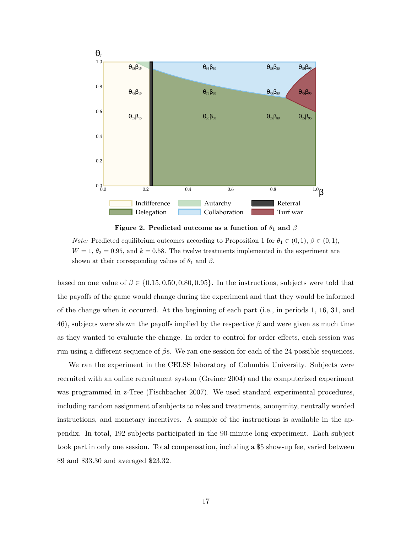<span id="page-19-0"></span>



*Note:* Predicted equilibrium outcomes according to Proposition [1](#page-14-0) for  $\theta_1 \in (0,1), \beta \in (0,1)$ ,  $W = 1, \theta_2 = 0.95$ , and  $k = 0.58$ . The twelve treatments implemented in the experiment are shown at their corresponding values of  $\theta_1$  and  $\beta$ .

based on one value of  $\beta \in \{0.15, 0.50, 0.80, 0.95\}$ . In the instructions, subjects were told that the payoffs of the game would change during the experiment and that they would be informed of the change when it occurred. At the beginning of each part (i.e., in periods 1, 16, 31, and 46), subjects were shown the payoffs implied by the respective  $\beta$  and were given as much time as they wanted to evaluate the change. In order to control for order effects, each session was run using a different sequence of  $\beta s$ . We ran one session for each of the 24 possible sequences.

We ran the experiment in the CELSS laboratory of Columbia University. Subjects were recruited with an online recruitment system [\(Greiner](#page-39-11) [2004\)](#page-39-11) and the computerized experiment was programmed in z-Tree [\(Fischbacher](#page-39-12) [2007\)](#page-39-12). We used standard experimental procedures, including random assignment of subjects to roles and treatments, anonymity, neutrally worded instructions, and monetary incentives. A sample of the instructions is available in the appendix. In total, 192 subjects participated in the 90-minute long experiment. Each subject took part in only one session. Total compensation, including a \$5 show-up fee, varied between \$9 and \$33.30 and averaged \$23.32.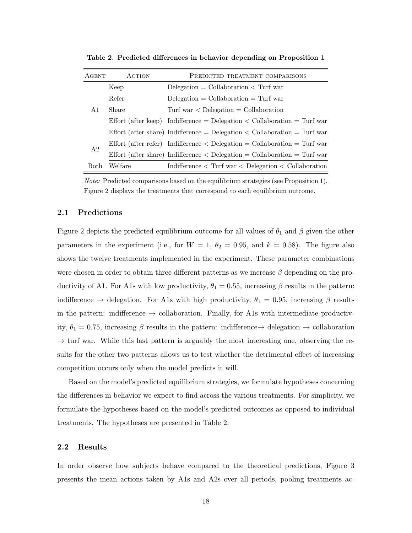| <b>AGENT</b>   | ACTION<br>PREDICTED TREATMENT COMPARISONS |                                                                                   |  |  |  |
|----------------|-------------------------------------------|-----------------------------------------------------------------------------------|--|--|--|
|                | Keep                                      | $Delegation = Collaboration < Turf$ war                                           |  |  |  |
|                | Refer                                     | $Delegation = Collaboration = Turf war$                                           |  |  |  |
| A1             | Share                                     | Turf war $\langle$ Delegation = Collaboration                                     |  |  |  |
|                |                                           | Effort (after keep) Indifference = Delegation $\lt$ Collaboration = Turf war      |  |  |  |
|                |                                           | Effort (after share) Indifference = Delegation $\langle$ Collaboration = Turf war |  |  |  |
| A <sub>2</sub> |                                           | Effort (after refer) Indifference $\langle$ Delegation = Collaboration = Turf war |  |  |  |
|                |                                           | Effort (after share) Indifference $\langle$ Delegation = Collaboration = Turf war |  |  |  |
| Both           | Welfare                                   | Indifference $\langle$ Turf war $\langle$ Delegation $\langle$ Collaboration      |  |  |  |

<span id="page-20-0"></span>Table 2. Predicted differences in behavior depending on Proposition [1](#page-14-0)

Note: Predicted comparisons based on the equilibrium strategies (see Proposition [1\)](#page-14-0). Figure [2](#page-19-0) displays the treatments that correspond to each equilibrium outcome.

### 2.1 Predictions

Figure [2](#page-19-0) depicts the predicted equilibrium outcome for all values of  $\theta_1$  and  $\beta$  given the other parameters in the experiment (i.e., for  $W = 1$ ,  $\theta_2 = 0.95$ , and  $k = 0.58$ ). The figure also shows the twelve treatments implemented in the experiment. These parameter combinations were chosen in order to obtain three different patterns as we increase  $\beta$  depending on the productivity of A1. For A1s with low productivity,  $\theta_1 = 0.55$ , increasing  $\beta$  results in the pattern: indifference  $\rightarrow$  delegation. For A1s with high productivity,  $\theta_1 = 0.95$ , increasing  $\beta$  results in the pattern: indifference  $\rightarrow$  collaboration. Finally, for A1s with intermediate productivity,  $\theta_1 = 0.75$ , increasing  $\beta$  results in the pattern: indifference  $\rightarrow$  delegation  $\rightarrow$  collaboration  $\rightarrow$  turf war. While this last pattern is arguably the most interesting one, observing the results for the other two patterns allows us to test whether the detrimental effect of increasing competition occurs only when the model predicts it will.

Based on the model's predicted equilibrium strategies, we formulate hypotheses concerning the differences in behavior we expect to find across the various treatments. For simplicity, we formulate the hypotheses based on the model's predicted outcomes as opposed to individual treatments. The hypotheses are presented in Table [2.](#page-20-0)

#### 2.2 Results

In order observe how subjects behave compared to the theoretical predictions, Figure [3](#page-21-0) presents the mean actions taken by A1s and A2s over all periods, pooling treatments ac-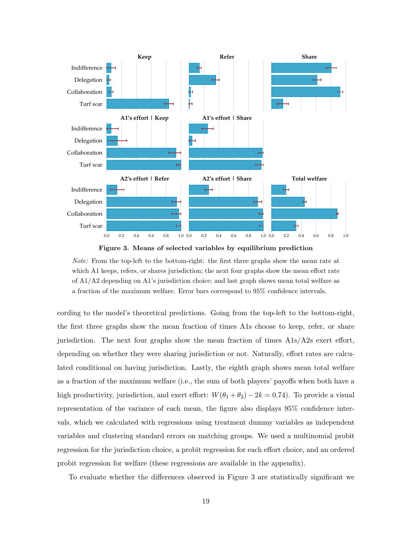<span id="page-21-0"></span>



Note: From the top-left to the bottom-right: the first three graphs show the mean rate at which A1 keeps, refers, or shares jurisdiction; the next four graphs show the mean effort rate of A1/A2 depending on A1's jurisdiction choice; and last graph shows mean total welfare as a fraction of the maximum welfare. Error bars correspond to 95% confidence intervals.

cording to the model's theoretical predictions. Going from the top-left to the bottom-right, the first three graphs show the mean fraction of times A1s choose to keep, refer, or share jurisdiction. The next four graphs show the mean fraction of times  $A1s/A2s$  exert effort, depending on whether they were sharing jurisdiction or not. Naturally, effort rates are calculated conditional on having jurisdiction. Lastly, the eighth graph shows mean total welfare as a fraction of the maximum welfare (i.e., the sum of both players' payoffs when both have a high productivity, jurisdiction, and exert effort:  $W(\theta_1 + \theta_2) - 2k = 0.74$ ). To provide a visual representation of the variance of each mean, the figure also displays 95% confidence intervals, which we calculated with regressions using treatment dummy variables as independent variables and clustering standard errors on matching groups. We used a multinomial probit regression for the jurisdiction choice, a probit regression for each effort choice, and an ordered probit regression for welfare (these regressions are available in the appendix).

To evaluate whether the differences observed in Figure [3](#page-21-0) are statistically significant we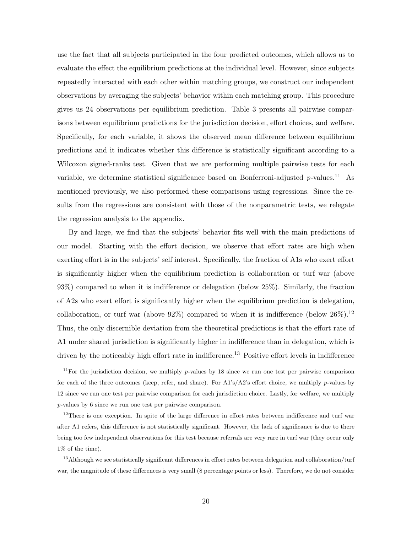use the fact that all subjects participated in the four predicted outcomes, which allows us to evaluate the effect the equilibrium predictions at the individual level. However, since subjects repeatedly interacted with each other within matching groups, we construct our independent observations by averaging the subjects' behavior within each matching group. This procedure gives us 24 observations per equilibrium prediction. Table [3](#page-23-0) presents all pairwise comparisons between equilibrium predictions for the jurisdiction decision, effort choices, and welfare. Specifically, for each variable, it shows the observed mean difference between equilibrium predictions and it indicates whether this difference is statistically significant according to a Wilcoxon signed-ranks test. Given that we are performing multiple pairwise tests for each variable, we determine statistical significance based on Bonferroni-adjusted  $p$ -values.<sup>11</sup> As mentioned previously, we also performed these comparisons using regressions. Since the results from the regressions are consistent with those of the nonparametric tests, we relegate the regression analysis to the appendix.

By and large, we find that the subjects' behavior fits well with the main predictions of our model. Starting with the effort decision, we observe that effort rates are high when exerting effort is in the subjects' self interest. Specifically, the fraction of A1s who exert effort is significantly higher when the equilibrium prediction is collaboration or turf war (above 93%) compared to when it is indifference or delegation (below 25%). Similarly, the fraction of A2s who exert effort is significantly higher when the equilibrium prediction is delegation, collaboration, or turf war (above  $92\%$ ) compared to when it is indifference (below  $26\%$ ).<sup>12</sup> Thus, the only discernible deviation from the theoretical predictions is that the effort rate of A1 under shared jurisdiction is significantly higher in indifference than in delegation, which is driven by the noticeably high effort rate in indifference.<sup>13</sup> Positive effort levels in indifference

<sup>12</sup>There is one exception. In spite of the large difference in effort rates between indifference and turf war after A1 refers, this difference is not statistically significant. However, the lack of significance is due to there being too few independent observations for this test because referrals are very rare in turf war (they occur only 1% of the time).

 $13$ Although we see statistically significant differences in effort rates between delegation and collaboration/turf war, the magnitude of these differences is very small (8 percentage points or less). Therefore, we do not consider

<sup>&</sup>lt;sup>11</sup>For the jurisdiction decision, we multiply p-values by 18 since we run one test per pairwise comparison for each of the three outcomes (keep, refer, and share). For A1's/A2's effort choice, we multiply p-values by 12 since we run one test per pairwise comparison for each jurisdiction choice. Lastly, for welfare, we multiply p-values by 6 since we run one test per pairwise comparison.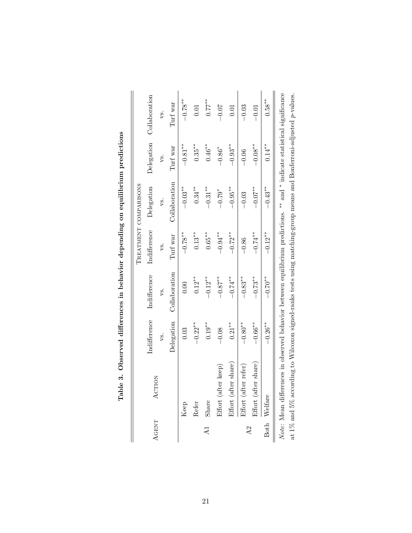<span id="page-23-0"></span>

|                                 |                   | TREATMENT COMPARISONS |                    |               |
|---------------------------------|-------------------|-----------------------|--------------------|---------------|
| Indifference<br>Indifference    | Indifference      | Delegation            | Delegation         | Collaboration |
| ys.                             | vs.               | vs.                   | vs.                | vs.           |
| Collaboration<br>Delegation     | Turf war          | Collaboration         | Turf war           | Turf war      |
| 0.00                            | $-0.78**$         | $-0.03**$             | $-0.81**$          | $-0.78**$     |
| $0.12^{**}$<br>$-0.22**$        | $0.13^{\ast\ast}$ | $0.34***$             | $0.35***$          | $0.01\,$      |
| $-0.12**$<br>$0.19^{**}$        | $0.65***$         | $-0.31***$            | $0.46***$          | $0.77$ **     |
| $-0.87$ **                      | $-0.94***$        | $-0.79*$              | $-0.86^{*}$        | $-0.07$       |
| $-0.74$ **<br>$0.21***$         | $-0.72**$         | $-0.95***$            | $-0.93**$          | 0.01          |
| $-0.83**$<br>$-0.80**$          | $-0.86$           | $-0.03$               | $-0.06$            | $-0.03$       |
| $-0.73**$<br>$-0.66^{\ast\ast}$ | $-0.74$ **        | $-0.07***$            | $-0.08^{\ast\ast}$ | $-0.01$       |
| $-0.70**$<br>$-0.26**$          | $-0.12***$        | $-0.43**$             | $0.14***$          | $0.58***$     |
|                                 |                   |                       |                    |               |

| meanwad differences in behavior depending on equiliprum prediction<br>:<br>)<br>1                                                       |
|-----------------------------------------------------------------------------------------------------------------------------------------|
|                                                                                                                                         |
| ֧֧ׅ֧ׅ֧ׅ֧֧֧ׅ֧֧֧֧ׅ֧ׅ֧ׅ֧֧֧֧֧ׅ֧֛֛֚֚֚֚֚֚֚֚֚֚֚֚֚֚֚֚֚֚֚֝֝֝֝֝֝֬֝֬֝֟֓֝֬֝֬֝֬֝֝֬֝֬֝֬֝֜֝֬֝֬֝֬֝֬֝<br>֧֧֛֛֧֧֧ׅ֧ׅ֧ׅ֧ׅ֧ׅ֛֛֛֛֛֚֚֚֚֚֚֚֚֚֚֚֚֜֝֝֜<br>)<br>{ |
| ֖֖֖֖֖֧ׅׅׅ֖֖֧֪֪֪ׅ֖֚֚֚֚֚֚֚֚֚֚֚֚֚֚֚֚֚֚֚֚֚֚֚֚֚֚֚֚֚֬֝֝֬֓֝֓֬֝֓֞֬֝֓֞                                                                           |
| ֧֧֧֧֧֚֚֝֬֝֬֓֓֓֬֝֓֓֓֓֬֝֓֓֬֓֓֓֬֝֓֓֬֝֓֬֝֓֝֬֝֓֬֝֓֬֝֓֬֝֓֬֝֓֬֝֓֬֝֓֬֝֬֝֓֬֝֬֝֓֬֝֬֝֓֬֝֬֝֬                                                        |
| $\ddot{\phantom{0}}$                                                                                                                    |
| ة                                                                                                                                       |
| $\sim$ $\sim$ $\sim$ $\sim$ $\sim$ $\sim$<br>$\overline{a}$<br>.<br>.<br>.<br>$\frac{1}{1}$                                             |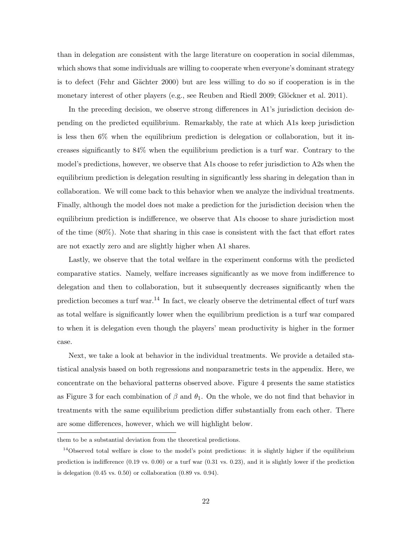than in delegation are consistent with the large literature on cooperation in social dilemmas, which shows that some individuals are willing to cooperate when everyone's dominant strategy is to defect (Fehr and Gächter [2000\)](#page-39-13) but are less willing to do so if cooperation is in the monetary interest of other players (e.g., see [Reuben and Riedl](#page-41-4) [2009;](#page-41-4) Glöckner et al. [2011\)](#page-39-14).

In the preceding decision, we observe strong differences in A1's jurisdiction decision depending on the predicted equilibrium. Remarkably, the rate at which A1s keep jurisdiction is less then 6% when the equilibrium prediction is delegation or collaboration, but it increases significantly to 84% when the equilibrium prediction is a turf war. Contrary to the model's predictions, however, we observe that A1s choose to refer jurisdiction to A2s when the equilibrium prediction is delegation resulting in significantly less sharing in delegation than in collaboration. We will come back to this behavior when we analyze the individual treatments. Finally, although the model does not make a prediction for the jurisdiction decision when the equilibrium prediction is indifference, we observe that A1s choose to share jurisdiction most of the time (80%). Note that sharing in this case is consistent with the fact that effort rates are not exactly zero and are slightly higher when A1 shares.

Lastly, we observe that the total welfare in the experiment conforms with the predicted comparative statics. Namely, welfare increases significantly as we move from indifference to delegation and then to collaboration, but it subsequently decreases significantly when the prediction becomes a turf war.<sup>14</sup> In fact, we clearly observe the detrimental effect of turf wars as total welfare is significantly lower when the equilibrium prediction is a turf war compared to when it is delegation even though the players' mean productivity is higher in the former case.

Next, we take a look at behavior in the individual treatments. We provide a detailed statistical analysis based on both regressions and nonparametric tests in the appendix. Here, we concentrate on the behavioral patterns observed above. Figure [4](#page-26-0) presents the same statistics as Figure [3](#page-21-0) for each combination of  $\beta$  and  $\theta_1$ . On the whole, we do not find that behavior in treatments with the same equilibrium prediction differ substantially from each other. There are some differences, however, which we will highlight below.

them to be a substantial deviation from the theoretical predictions.

 $14$ Observed total welfare is close to the model's point predictions: it is slightly higher if the equilibrium prediction is indifference (0.19 vs. 0.00) or a turf war (0.31 vs. 0.23), and it is slightly lower if the prediction is delegation  $(0.45 \text{ vs. } 0.50)$  or collaboration  $(0.89 \text{ vs. } 0.94)$ .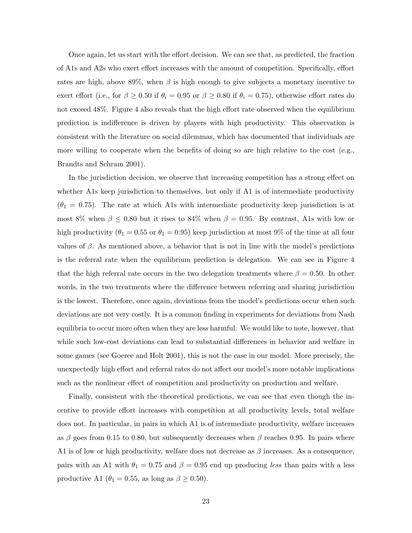Once again, let us start with the effort decision. We can see that, as predicted, the fraction of A1s and A2s who exert effort increases with the amount of competition. Specifically, effort rates are high, above 89%, when  $\beta$  is high enough to give subjects a monetary incentive to exert effort (i.e., for  $\beta \ge 0.50$  if  $\theta_i = 0.95$  or  $\beta \ge 0.80$  if  $\theta_i = 0.75$ ), otherwise effort rates do not exceed 48%. Figure [4](#page-26-0) also reveals that the high effort rate observed when the equilibrium prediction is indifference is driven by players with high productivity. This observation is consistent with the literature on social dilemmas, which has documented that individuals are more willing to cooperate when the benefits of doing so are high relative to the cost (e.g., [Brandts and Schram](#page-38-9) [2001\)](#page-38-9).

In the jurisdiction decision, we observe that increasing competition has a strong effect on whether A1s keep jurisdiction to themselves, but only if A1 is of intermediate productivity  $(\theta_1 = 0.75)$ . The rate at which A1s with intermediate productivity keep jurisdiction is at most 8% when  $\beta \leq 0.80$  but it rises to 84% when  $\beta = 0.95$ . By contrast, A1s with low or high productivity ( $\theta_1 = 0.55$  or  $\theta_1 = 0.95$ ) keep jurisdiction at most 9% of the time at all four values of  $\beta$ . As mentioned above, a behavior that is not in line with the model's predictions is the referral rate when the equilibrium prediction is delegation. We can see in Figure [4](#page-26-0) that the high referral rate occurs in the two delegation treatments where  $\beta = 0.50$ . In other words, in the two treatments where the difference between referring and sharing jurisdiction is the lowest. Therefore, once again, deviations from the model's predictions occur when such deviations are not very costly. It is a common finding in experiments for deviations from Nash equilibria to occur more often when they are less harmful. We would like to note, however, that while such low-cost deviations can lead to substantial differences in behavior and welfare in some games (see [Goeree and Holt](#page-39-15) [2001\)](#page-39-15), this is not the case in our model. More precisely, the unexpectedly high effort and referral rates do not affect our model's more notable implications such as the nonlinear effect of competition and productivity on production and welfare.

Finally, consistent with the theoretical predictions, we can see that even though the incentive to provide effort increases with competition at all productivity levels, total welfare does not. In particular, in pairs in which A1 is of intermediate productivity, welfare increases as β goes from 0.15 to 0.80, but subsequently decreases when β reaches 0.95. In pairs where A1 is of low or high productivity, welfare does not decrease as  $\beta$  increases. As a consequence, pairs with an A1 with  $\theta_1 = 0.75$  and  $\beta = 0.95$  end up producing less than pairs with a less productive A1 ( $\theta_1 = 0.55$ , as long as  $\beta \geq 0.50$ ).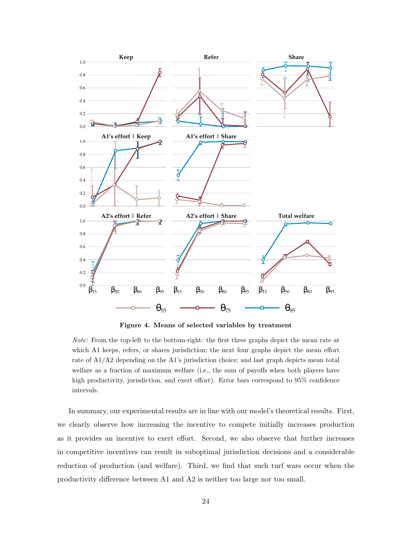<span id="page-26-0"></span>

Figure 4. Means of selected variables by treatment

Note: From the top-left to the bottom-right: the first three graphs depict the mean rate at which A1 keeps, refers, or shares jurisdiction; the next four graphs depict the mean effort rate of A1/A2 depending on the A1's jurisdiction choice; and last graph depicts mean total welfare as a fraction of maximum welfare (i.e., the sum of payoffs when both players have high productivity, jurisdiction, and exert effort). Error bars correspond to  $95\%$  confidence intervals.

In summary, our experimental results are in line with our model's theoretical results. First, we clearly observe how increasing the incentive to compete initially increases production as it provides an incentive to exert effort. Second, we also observe that further increases in competitive incentives can result in suboptimal jurisdiction decisions and a considerable reduction of production (and welfare). Third, we find that such turf wars occur when the productivity difference between A1 and A2 is neither too large nor too small.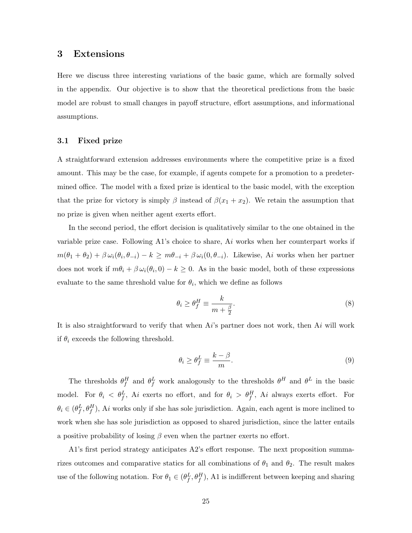## 3 Extensions

Here we discuss three interesting variations of the basic game, which are formally solved in the appendix. Our objective is to show that the theoretical predictions from the basic model are robust to small changes in payoff structure, effort assumptions, and informational assumptions.

## 3.1 Fixed prize

A straightforward extension addresses environments where the competitive prize is a fixed amount. This may be the case, for example, if agents compete for a promotion to a predetermined office. The model with a fixed prize is identical to the basic model, with the exception that the prize for victory is simply  $\beta$  instead of  $\beta(x_1 + x_2)$ . We retain the assumption that no prize is given when neither agent exerts effort.

In the second period, the effort decision is qualitatively similar to the one obtained in the variable prize case. Following A1's choice to share,  $Ai$  works when her counterpart works if  $m(\theta_1 + \theta_2) + \beta \omega_i(\theta_i, \theta_{-i}) - k \geq m\theta_{-i} + \beta \omega_i(0, \theta_{-i}).$  Likewise, Ai works when her partner does not work if  $m\theta_i + \beta \omega_i(\theta_i, 0) - k \geq 0$ . As in the basic model, both of these expressions evaluate to the same threshold value for  $\theta_i$ , which we define as follows

$$
\theta_i \ge \theta_f^H \equiv \frac{k}{m + \frac{\beta}{2}}.\tag{8}
$$

It is also straightforward to verify that when  $Ai$ 's partner does not work, then  $Ai$  will work if  $\theta_i$  exceeds the following threshold.

$$
\theta_i \ge \theta_f^L \equiv \frac{k - \beta}{m}.\tag{9}
$$

The thresholds  $\theta_f^H$  and  $\theta_f^L$  work analogously to the thresholds  $\theta^H$  and  $\theta^L$  in the basic model. For  $\theta_i < \theta_f^L$ , Ai exerts no effort, and for  $\theta_i > \theta_f^H$ , Ai always exerts effort. For  $\theta_i \in (\theta_f^L, \theta_f^H)$ , Ai works only if she has sole jurisdiction. Again, each agent is more inclined to work when she has sole jurisdiction as opposed to shared jurisdiction, since the latter entails a positive probability of losing  $\beta$  even when the partner exerts no effort.

A1's first period strategy anticipates A2's effort response. The next proposition summarizes outcomes and comparative statics for all combinations of  $\theta_1$  and  $\theta_2$ . The result makes use of the following notation. For  $\theta_1 \in (\theta_f^L, \theta_f^H)$ , A1 is indifferent between keeping and sharing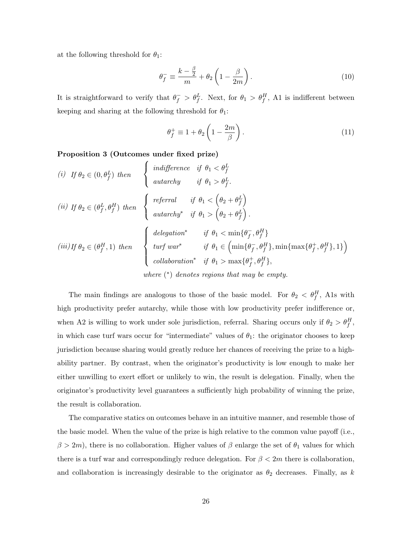at the following threshold for  $\theta_1$ :

$$
\theta_f^- \equiv \frac{k - \frac{\beta}{2}}{m} + \theta_2 \left( 1 - \frac{\beta}{2m} \right). \tag{10}
$$

It is straightforward to verify that  $\theta_f^- > \theta_f^L$ . Next, for  $\theta_1 > \theta_f^H$ , A1 is indifferent between keeping and sharing at the following threshold for  $\theta_1$ :

$$
\theta_f^+ \equiv 1 + \theta_2 \left( 1 - \frac{2m}{\beta} \right). \tag{11}
$$

Proposition 3 (Outcomes under fixed prize)

(i) If 
$$
\theta_2 \in (0, \theta_f^L)
$$
 then  
\n
$$
\begin{cases}\n\text{indifference if } \theta_1 < \theta_f^L \\
\text{autarchy} & \text{if } \theta_1 > \theta_f^L.\n\end{cases}
$$
\n(ii) If  $\theta_2 \in (\theta_f^L, \theta_f^H)$  then\n
$$
\begin{cases}\n\text{referval} & \text{if } \theta_1 < \left(\theta_2 + \theta_f^L\right) \\
\text{autarchy}^* & \text{if } \theta_1 > \left(\theta_2 + \theta_f^L\right).\n\end{cases}
$$
\n(iii) If  $\theta_2 \in (\theta_f^H, 1)$  then\n
$$
\begin{cases}\n\text{delegation}^* & \text{if } \theta_1 < \min\{\theta_f^-, \theta_f^H\} \\
\text{turf war}^* & \text{if } \theta_1 \in \left(\min\{\theta_f^-, \theta_f^H\}, \min\{\max\{\theta_f^+, \theta_f^H\}, 1\}\right) \\
\text{collaboration}^* & \text{if } \theta_1 > \max\{\theta_f^+, \theta_f^H\}, \\
\text{where } (*) \text{ denotes regions that may be empty.}\n\end{cases}
$$

The main findings are analogous to those of the basic model. For  $\theta_2 < \theta_f^H$ , Als with high productivity prefer autarchy, while those with low productivity prefer indifference or, when A2 is willing to work under sole jurisdiction, referral. Sharing occurs only if  $\theta_2 > \theta_f^H$ , in which case turf wars occur for "intermediate" values of  $\theta_1$ : the originator chooses to keep jurisdiction because sharing would greatly reduce her chances of receiving the prize to a highability partner. By contrast, when the originator's productivity is low enough to make her either unwilling to exert effort or unlikely to win, the result is delegation. Finally, when the originator's productivity level guarantees a sufficiently high probability of winning the prize, the result is collaboration.

The comparative statics on outcomes behave in an intuitive manner, and resemble those of the basic model. When the value of the prize is high relative to the common value payoff (i.e.,  $\beta > 2m$ , there is no collaboration. Higher values of  $\beta$  enlarge the set of  $\theta_1$  values for which there is a turf war and correspondingly reduce delegation. For  $\beta < 2m$  there is collaboration, and collaboration is increasingly desirable to the originator as  $\theta_2$  decreases. Finally, as k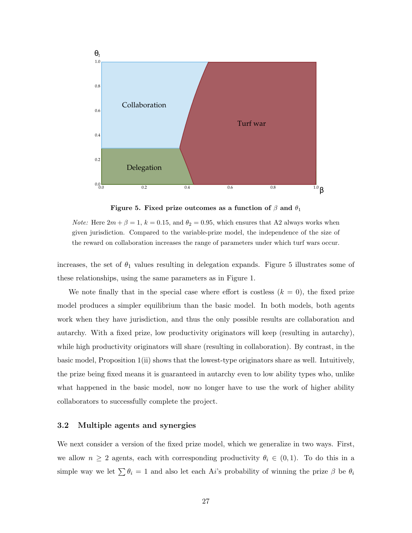<span id="page-29-0"></span>

Figure 5. Fixed prize outcomes as a function of  $\beta$  and  $\theta_1$ 

*Note:* Here  $2m + \beta = 1$ ,  $k = 0.15$ , and  $\theta_2 = 0.95$ , which ensures that A2 always works when given jurisdiction. Compared to the variable-prize model, the independence of the size of the reward on collaboration increases the range of parameters under which turf wars occur.

increases, the set of  $\theta_1$  values resulting in delegation expands. Figure [5](#page-29-0) illustrates some of these relationships, using the same parameters as in Figure 1.

We note finally that in the special case where effort is costless  $(k = 0)$ , the fixed prize model produces a simpler equilibrium than the basic model. In both models, both agents work when they have jurisdiction, and thus the only possible results are collaboration and autarchy. With a fixed prize, low productivity originators will keep (resulting in autarchy), while high productivity originators will share (resulting in collaboration). By contrast, in the basic model, Proposition [1\(](#page-14-0)ii) shows that the lowest-type originators share as well. Intuitively, the prize being fixed means it is guaranteed in autarchy even to low ability types who, unlike what happened in the basic model, now no longer have to use the work of higher ability collaborators to successfully complete the project.

## 3.2 Multiple agents and synergies

We next consider a version of the fixed prize model, which we generalize in two ways. First, we allow  $n \geq 2$  agents, each with corresponding productivity  $\theta_i \in (0,1)$ . To do this in a simple way we let  $\sum \theta_i = 1$  and also let each Ai's probability of winning the prize  $\beta$  be  $\theta_i$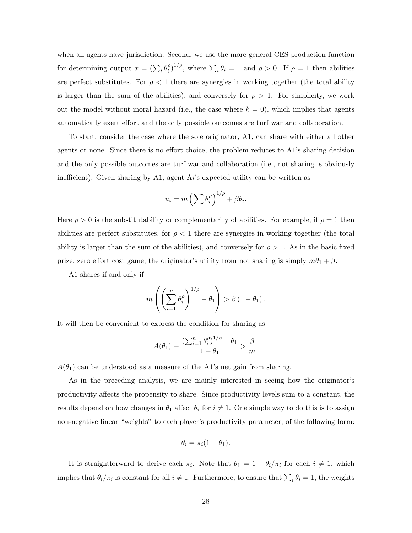when all agents have jurisdiction. Second, we use the more general CES production function for determining output  $x = (\sum_i \theta_i^{\rho})$  $\int_{i}^{\rho}$ , where  $\sum_{i} \theta_i = 1$  and  $\rho > 0$ . If  $\rho = 1$  then abilities are perfect substitutes. For  $\rho < 1$  there are synergies in working together (the total ability is larger than the sum of the abilities), and conversely for  $\rho > 1$ . For simplicity, we work out the model without moral hazard (i.e., the case where  $k = 0$ ), which implies that agents automatically exert effort and the only possible outcomes are turf war and collaboration.

To start, consider the case where the sole originator, A1, can share with either all other agents or none. Since there is no effort choice, the problem reduces to A1's sharing decision and the only possible outcomes are turf war and collaboration (i.e., not sharing is obviously inefficient). Given sharing by A1, agent Ai's expected utility can be written as

$$
u_i = m \left( \sum \theta_i^{\rho} \right)^{1/\rho} + \beta \theta_i.
$$

Here  $\rho > 0$  is the substitutability or complementarity of abilities. For example, if  $\rho = 1$  then abilities are perfect substitutes, for  $\rho < 1$  there are synergies in working together (the total ability is larger than the sum of the abilities), and conversely for  $\rho > 1$ . As in the basic fixed prize, zero effort cost game, the originator's utility from not sharing is simply  $m\theta_1 + \beta$ .

A1 shares if and only if

$$
m\left(\left(\sum_{i=1}^n \theta_i^{\rho}\right)^{1/\rho} - \theta_1\right) > \beta (1 - \theta_1).
$$

It will then be convenient to express the condition for sharing as

$$
A(\theta_1) \equiv \frac{\left(\sum_{i=1}^n \theta_i^{\rho}\right)^{1/\rho} - \theta_1}{1 - \theta_1} > \frac{\beta}{m}.
$$

 $A(\theta_1)$  can be understood as a measure of the A1's net gain from sharing.

As in the preceding analysis, we are mainly interested in seeing how the originator's productivity affects the propensity to share. Since productivity levels sum to a constant, the results depend on how changes in  $\theta_1$  affect  $\theta_i$  for  $i \neq 1$ . One simple way to do this is to assign non-negative linear "weights" to each player's productivity parameter, of the following form:

$$
\theta_i = \pi_i(1 - \theta_1).
$$

It is straightforward to derive each  $\pi_i$ . Note that  $\theta_1 = 1 - \theta_i/\pi_i$  for each  $i \neq 1$ , which implies that  $\theta_i/\pi_i$  is constant for all  $i \neq 1$ . Furthermore, to ensure that  $\sum_i \theta_i = 1$ , the weights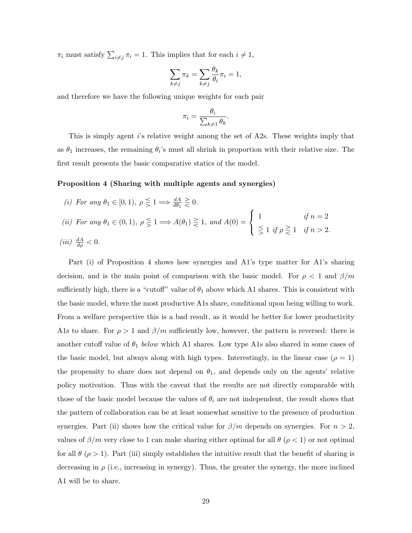$\pi_i$  must satisfy  $\sum_{i \neq j} \pi_i = 1$ . This implies that for each  $i \neq 1$ ,

$$
\sum_{k \neq j} \pi_k = \sum_{k \neq j} \frac{\theta_k}{\theta_i} \pi_i = 1,
$$

and therefore we have the following unique weights for each pair

$$
\pi_i = \frac{\theta_i}{\sum_{k \neq 1} \theta_k}.
$$

This is simply agent i's relative weight among the set of A2s. These weights imply that as  $\theta_1$  increases, the remaining  $\theta_i$ 's must all shrink in proportion with their relative size. The first result presents the basic comparative statics of the model.

#### <span id="page-31-0"></span>Proposition 4 (Sharing with multiple agents and synergies)

(i) For any  $\theta_1 \in [0,1)$ ,  $\rho \leq 1 \Longrightarrow \frac{dA}{d\theta_1} \geq 0$ . (ii) For any  $\theta_1 \in (0,1)$ ,  $\rho \leq 1 \Longrightarrow A(\theta_1) \geq 1$ , and  $A(0) =$  $\sqrt{ }$ J  $\mathcal{L}$ 1 if  $n = 2$  $\leq 1$  if  $\rho \geq 1$  if  $n > 2$ . (*iii*)  $\frac{dA}{d\rho} < 0$ .

Part (i) of Proposition [4](#page-31-0) shows how synergies and A1's type matter for A1's sharing decision, and is the main point of comparison with the basic model. For  $\rho < 1$  and  $\beta/m$ sufficiently high, there is a "cutoff" value of  $\theta_1$  above which A1 shares. This is consistent with the basic model, where the most productive A1s share, conditional upon being willing to work. From a welfare perspective this is a bad result, as it would be better for lower productivity A1s to share. For  $\rho > 1$  and  $\beta/m$  sufficiently low, however, the pattern is reversed: there is another cutoff value of  $\theta_1$  below which A1 shares. Low type A1s also shared in some cases of the basic model, but always along with high types. Interestingly, in the linear case  $(\rho = 1)$ the propensity to share does not depend on  $\theta_1$ , and depends only on the agents' relative policy motivation. Thus with the caveat that the results are not directly comparable with those of the basic model because the values of  $\theta_i$  are not independent, the result shows that the pattern of collaboration can be at least somewhat sensitive to the presence of production synergies. Part (ii) shows how the critical value for  $\beta/m$  depends on synergies. For  $n > 2$ , values of  $\beta/m$  very close to 1 can make sharing either optimal for all  $\theta (\rho < 1)$  or not optimal for all  $\theta$  ( $\rho > 1$ ). Part (iii) simply establishes the intuitive result that the benefit of sharing is decreasing in  $\rho$  (i.e., increasing in synergy). Thus, the greater the synergy, the more inclined A1 will be to share.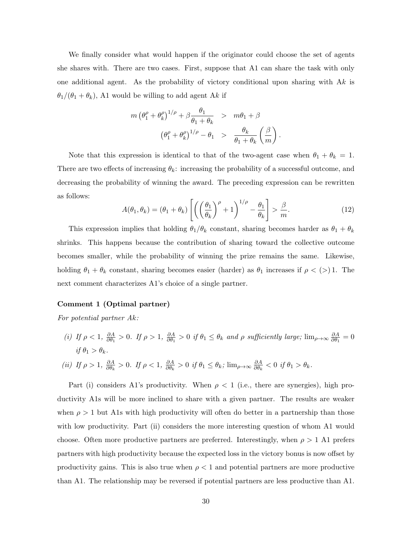We finally consider what would happen if the originator could choose the set of agents she shares with. There are two cases. First, suppose that A1 can share the task with only one additional agent. As the probability of victory conditional upon sharing with  $Ak$  is  $\theta_1/(\theta_1 + \theta_k)$ , A1 would be willing to add agent Ak if

$$
m \left(\theta_1^{\rho} + \theta_k^{\rho}\right)^{1/\rho} + \beta \frac{\theta_1}{\theta_1 + \theta_k} > m\theta_1 + \beta
$$

$$
\left(\theta_1^{\rho} + \theta_k^{\rho}\right)^{1/\rho} - \theta_1 > \frac{\theta_k}{\theta_1 + \theta_k} \left(\frac{\beta}{m}\right).
$$

Note that this expression is identical to that of the two-agent case when  $\theta_1 + \theta_k = 1$ . There are two effects of increasing  $\theta_k$ : increasing the probability of a successful outcome, and decreasing the probability of winning the award. The preceding expression can be rewritten as follows:

<span id="page-32-0"></span>
$$
A(\theta_1, \theta_k) = (\theta_1 + \theta_k) \left[ \left( \left( \frac{\theta_1}{\theta_k} \right)^{\rho} + 1 \right)^{1/\rho} - \frac{\theta_1}{\theta_k} \right] > \frac{\beta}{m}.
$$
 (12)

This expression implies that holding  $\theta_1/\theta_k$  constant, sharing becomes harder as  $\theta_1 + \theta_k$ shrinks. This happens because the contribution of sharing toward the collective outcome becomes smaller, while the probability of winning the prize remains the same. Likewise, holding  $\theta_1 + \theta_k$  constant, sharing becomes easier (harder) as  $\theta_1$  increases if  $\rho < (>) 1$ . The next comment characterizes A1's choice of a single partner.

## Comment 1 (Optimal partner)

For potential partner Ak:

(i) If  $\rho < 1$ ,  $\frac{\partial A}{\partial \theta_1}$  $\frac{\partial A}{\partial \theta_1} > 0$ . If  $\rho > 1$ ,  $\frac{\partial A}{\partial \theta_1}$  $\frac{\partial A}{\partial \theta_1} > 0$  if  $\theta_1 \le \theta_k$  and  $\rho$  sufficiently large;  $\lim_{\rho \to \infty} \frac{\partial A}{\partial \theta_1}$  $\frac{\partial A}{\partial \theta_1} = 0$ if  $\theta_1 > \theta_k$ .

(ii) If 
$$
\rho > 1
$$
,  $\frac{\partial A}{\partial \theta_k} > 0$ . If  $\rho < 1$ ,  $\frac{\partial A}{\partial \theta_k} > 0$  if  $\theta_1 \le \theta_k$ ;  $\lim_{\rho \to \infty} \frac{\partial A}{\partial \theta_k} < 0$  if  $\theta_1 > \theta_k$ .

Part (i) considers A1's productivity. When  $\rho < 1$  (i.e., there are synergies), high productivity A1s will be more inclined to share with a given partner. The results are weaker when  $\rho > 1$  but A1s with high productivity will often do better in a partnership than those with low productivity. Part (ii) considers the more interesting question of whom A1 would choose. Often more productive partners are preferred. Interestingly, when  $\rho > 1$  A1 prefers partners with high productivity because the expected loss in the victory bonus is now offset by productivity gains. This is also true when  $\rho < 1$  and potential partners are more productive than A1. The relationship may be reversed if potential partners are less productive than A1.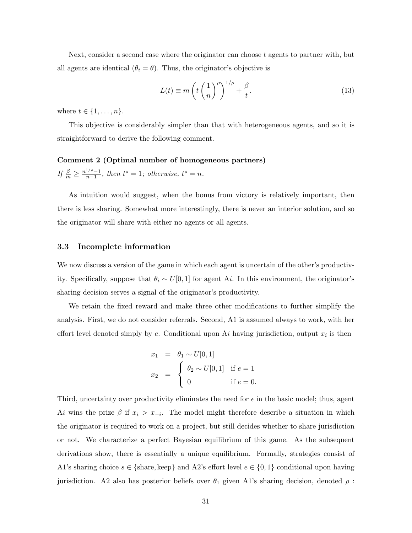Next, consider a second case where the originator can choose  $t$  agents to partner with, but all agents are identical  $(\theta_i = \theta)$ . Thus, the originator's objective is

<span id="page-33-0"></span>
$$
L(t) \equiv m\left(t\left(\frac{1}{n}\right)^{\rho}\right)^{1/\rho} + \frac{\beta}{t}.
$$
\n(13)

where  $t \in \{1, \ldots, n\}$ .

This objective is considerably simpler than that with heterogeneous agents, and so it is straightforward to derive the following comment.

## Comment 2 (Optimal number of homogeneous partners) If  $\frac{\beta}{m} \geq \frac{n^{1/\rho}-1}{n-1}$  $\frac{1}{n-1}$ , then  $t^* = 1$ ; otherwise,  $t^* = n$ .

As intuition would suggest, when the bonus from victory is relatively important, then there is less sharing. Somewhat more interestingly, there is never an interior solution, and so the originator will share with either no agents or all agents.

#### 3.3 Incomplete information

We now discuss a version of the game in which each agent is uncertain of the other's productivity. Specifically, suppose that  $\theta_i \sim U[0, 1]$  for agent A*i*. In this environment, the originator's sharing decision serves a signal of the originator's productivity.

We retain the fixed reward and make three other modifications to further simplify the analysis. First, we do not consider referrals. Second, A1 is assumed always to work, with her effort level denoted simply by  $e$ . Conditional upon  $Ai$  having jurisdiction, output  $x_i$  is then

$$
x_1 = \theta_1 \sim U[0, 1]
$$
  
\n
$$
x_2 = \begin{cases} \theta_2 \sim U[0, 1] & \text{if } e = 1 \\ 0 & \text{if } e = 0. \end{cases}
$$

Third, uncertainty over productivity eliminates the need for  $\epsilon$  in the basic model; thus, agent Ai wins the prize  $\beta$  if  $x_i > x_{-i}$ . The model might therefore describe a situation in which the originator is required to work on a project, but still decides whether to share jurisdiction or not. We characterize a perfect Bayesian equilibrium of this game. As the subsequent derivations show, there is essentially a unique equilibrium. Formally, strategies consist of A1's sharing choice  $s \in \{\text{share}, \text{keep}\}\$  and A2's effort level  $e \in \{0, 1\}$  conditional upon having jurisdiction. A2 also has posterior beliefs over  $\theta_1$  given A1's sharing decision, denoted  $\rho$ :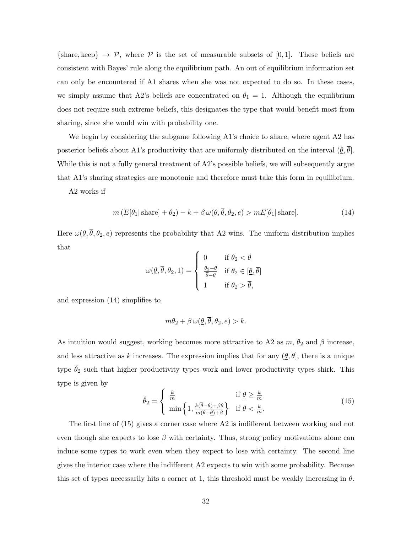{share, keep}  $\rightarrow \mathcal{P}$ , where  $\mathcal P$  is the set of measurable subsets of [0, 1]. These beliefs are consistent with Bayes' rule along the equilibrium path. An out of equilibrium information set can only be encountered if A1 shares when she was not expected to do so. In these cases, we simply assume that A2's beliefs are concentrated on  $\theta_1 = 1$ . Although the equilibrium does not require such extreme beliefs, this designates the type that would benefit most from sharing, since she would win with probability one.

We begin by considering the subgame following A1's choice to share, where agent A2 has posterior beliefs about A1's productivity that are uniformly distributed on the interval  $(\underline{\theta}, \overline{\theta})$ . While this is not a fully general treatment of A2's possible beliefs, we will subsequently argue that A1's sharing strategies are monotonic and therefore must take this form in equilibrium.

A2 works if

<span id="page-34-0"></span>
$$
m(E[\theta_1|\,\text{share}] + \theta_2) - k + \beta \,\omega(\underline{\theta}, \overline{\theta}, \theta_2, e) > mE[\theta_1|\,\text{share}].\tag{14}
$$

Here  $\omega(\underline{\theta}, \overline{\theta}, \theta_2, e)$  represents the probability that A2 wins. The uniform distribution implies that

$$
\omega(\underline{\theta}, \overline{\theta}, \theta_2, 1) = \begin{cases} 0 & \text{if } \theta_2 < \underline{\theta} \\ \frac{\theta_2 - \underline{\theta}}{\overline{\theta} - \underline{\theta}} & \text{if } \theta_2 \in [\underline{\theta}, \overline{\theta}] \\ 1 & \text{if } \theta_2 > \overline{\theta}, \end{cases}
$$

and expression [\(14\)](#page-34-0) simplifies to

$$
m\theta_2 + \beta \,\omega(\underline{\theta}, \theta, \theta_2, e) > k.
$$

As intuition would suggest, working becomes more attractive to A2 as  $m$ ,  $\theta_2$  and  $\beta$  increase, and less attractive as k increases. The expression implies that for any  $(\theta, \overline{\theta})$ , there is a unique type  $\hat{\theta}_2$  such that higher productivity types work and lower productivity types shirk. This type is given by

<span id="page-34-1"></span>
$$
\hat{\theta}_2 = \begin{cases} \frac{k}{m} & \text{if } \underline{\theta} \ge \frac{k}{m} \\ \min\left\{1, \frac{k(\overline{\theta} - \underline{\theta}) + \beta \underline{\theta}}{m(\overline{\theta} - \underline{\theta}) + \beta}\right\} & \text{if } \underline{\theta} < \frac{k}{m} . \end{cases}
$$
(15)

The first line of [\(15\)](#page-34-1) gives a corner case where A2 is indifferent between working and not even though she expects to lose  $\beta$  with certainty. Thus, strong policy motivations alone can induce some types to work even when they expect to lose with certainty. The second line gives the interior case where the indifferent A2 expects to win with some probability. Because this set of types necessarily hits a corner at 1, this threshold must be weakly increasing in  $\theta$ .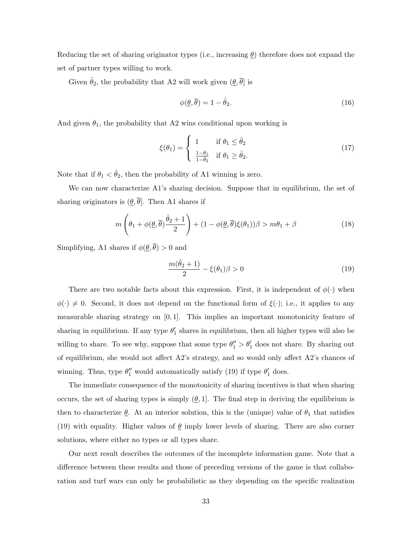Reducing the set of sharing originator types (i.e., increasing  $\theta$ ) therefore does not expand the set of partner types willing to work.

Given  $\hat{\theta}_2,$  the probability that A2 will work given  $(\underline{\theta},\overline{\theta}]$  is

<span id="page-35-1"></span>
$$
\phi(\underline{\theta}, \overline{\theta}) = 1 - \hat{\theta}_2. \tag{16}
$$

And given  $\theta_1$ , the probability that A2 wins conditional upon working is

<span id="page-35-3"></span>
$$
\xi(\theta_1) = \begin{cases} 1 & \text{if } \theta_1 \le \hat{\theta}_2 \\ \frac{1-\theta_1}{1-\hat{\theta}_2} & \text{if } \theta_1 \ge \hat{\theta}_2. \end{cases}
$$
 (17)

Note that if  $\theta_1 < \hat{\theta}_2$ , then the probability of A1 winning is zero.

We can now characterize A1's sharing decision. Suppose that in equilibrium, the set of sharing originators is  $(\underline{\theta}, \overline{\theta}]$ . Then A1 shares if

<span id="page-35-2"></span>
$$
m\left(\theta_1 + \phi(\underline{\theta}, \overline{\theta})\frac{\hat{\theta}_2 + 1}{2}\right) + (1 - \phi(\underline{\theta}, \overline{\theta})\xi(\theta_1))\beta > m\theta_1 + \beta\tag{18}
$$

Simplifying, A1 shares if  $\phi(\underline{\theta}, \overline{\theta}) > 0$  and

<span id="page-35-0"></span>
$$
\frac{m(\hat{\theta}_2+1)}{2} - \xi(\theta_1)\beta > 0\tag{19}
$$

There are two notable facts about this expression. First, it is independent of  $\phi(\cdot)$  when  $\phi(\cdot) \neq 0$ . Second, it does not depend on the functional form of  $\xi(\cdot)$ ; i.e., it applies to any measurable sharing strategy on  $[0, 1]$ . This implies an important monotonicity feature of sharing in equilibrium. If any type  $\theta'_1$  shares in equilibrium, then all higher types will also be willing to share. To see why, suppose that some type  $\theta''_1 > \theta'_1$  does not share. By sharing out of equilibrium, she would not affect A2's strategy, and so would only affect A2's chances of winning. Thus, type  $\theta_1''$  would automatically satisfy [\(19\)](#page-35-0) if type  $\theta_1'$  does.

The immediate consequence of the monotonicity of sharing incentives is that when sharing occurs, the set of sharing types is simply  $(\theta, 1]$ . The final step in deriving the equilibrium is then to characterize  $\underline{\theta}$ . At an interior solution, this is the (unique) value of  $\theta_1$  that satisfies [\(19\)](#page-35-0) with equality. Higher values of  $\theta$  imply lower levels of sharing. There are also corner solutions, where either no types or all types share.

Our next result describes the outcomes of the incomplete information game. Note that a difference between these results and those of preceding versions of the game is that collaboration and turf wars can only be probabilistic as they depending on the specific realization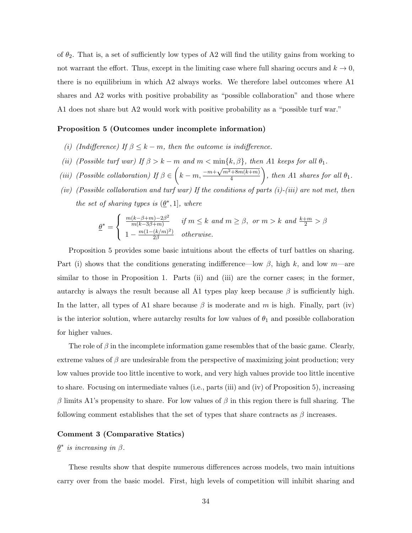of  $\theta_2$ . That is, a set of sufficiently low types of A2 will find the utility gains from working to not warrant the effort. Thus, except in the limiting case where full sharing occurs and  $k \to 0$ , there is no equilibrium in which A2 always works. We therefore label outcomes where A1 shares and A2 works with positive probability as "possible collaboration" and those where A1 does not share but A2 would work with positive probability as a "possible turf war."

## <span id="page-36-0"></span>Proposition 5 (Outcomes under incomplete information)

- (i) (Indifference) If  $\beta \leq k m$ , then the outcome is indifference.
- (ii) (Possible turf war) If  $\beta > k m$  and  $m < \min\{k, \beta\}$ , then A1 keeps for all  $\theta_1$ .
- (iii) (Possible collaboration) If  $\beta \in \left(k m, \frac{-m + \sqrt{m^2 + 8m(k+m)}}{4}\right)$ 4 ), then A1 shares for all  $\theta_1$ .
- (iv) (Possible collaboration and turf war) If the conditions of parts  $(i)$ -(iii) are not met, then the set of sharing types is  $(\underline{\theta}^*, 1]$ , where

$$
\underline{\theta}^* = \begin{cases} \frac{m(k-\beta+m)-2\beta^2}{m(k-3\beta+m)} & \text{if } m \le k \text{ and } m \ge \beta, \text{ or } m > k \text{ and } \frac{k+m}{2} > \beta \\ 1 - \frac{m(1-(k/m)^2)}{2\beta} & \text{otherwise.} \end{cases}
$$

Proposition [5](#page-36-0) provides some basic intuitions about the effects of turf battles on sharing. Part (i) shows that the conditions generating indifference—low  $\beta$ , high k, and low m—are similar to those in Proposition [1.](#page-14-0) Parts (ii) and (iii) are the corner cases; in the former, autarchy is always the result because all A1 types play keep because  $\beta$  is sufficiently high. In the latter, all types of A1 share because  $\beta$  is moderate and m is high. Finally, part (iv) is the interior solution, where autarchy results for low values of  $\theta_1$  and possible collaboration for higher values.

The role of  $\beta$  in the incomplete information game resembles that of the basic game. Clearly, extreme values of  $\beta$  are undesirable from the perspective of maximizing joint production; very low values provide too little incentive to work, and very high values provide too little incentive to share. Focusing on intermediate values (i.e., parts (iii) and (iv) of Proposition [5\)](#page-36-0), increasing β limits A1's propensity to share. For low values of β in this region there is full sharing. The following comment establishes that the set of types that share contracts as  $\beta$  increases.

#### Comment 3 (Comparative Statics)

## $\underline{\theta}^*$  is increasing in  $\beta$ .

These results show that despite numerous differences across models, two main intuitions carry over from the basic model. First, high levels of competition will inhibit sharing and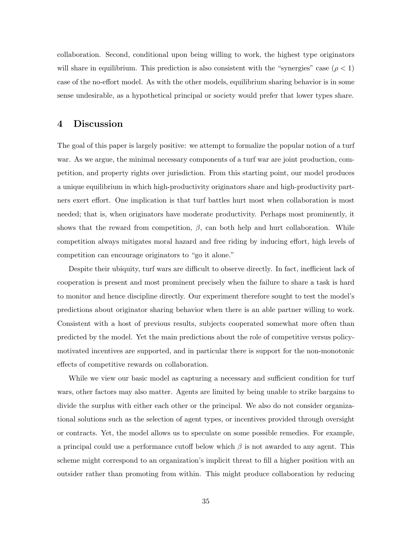collaboration. Second, conditional upon being willing to work, the highest type originators will share in equilibrium. This prediction is also consistent with the "synergies" case ( $\rho < 1$ ) case of the no-effort model. As with the other models, equilibrium sharing behavior is in some sense undesirable, as a hypothetical principal or society would prefer that lower types share.

## 4 Discussion

The goal of this paper is largely positive: we attempt to formalize the popular notion of a turf war. As we argue, the minimal necessary components of a turf war are joint production, competition, and property rights over jurisdiction. From this starting point, our model produces a unique equilibrium in which high-productivity originators share and high-productivity partners exert effort. One implication is that turf battles hurt most when collaboration is most needed; that is, when originators have moderate productivity. Perhaps most prominently, it shows that the reward from competition,  $\beta$ , can both help and hurt collaboration. While competition always mitigates moral hazard and free riding by inducing effort, high levels of competition can encourage originators to "go it alone."

Despite their ubiquity, turf wars are difficult to observe directly. In fact, inefficient lack of cooperation is present and most prominent precisely when the failure to share a task is hard to monitor and hence discipline directly. Our experiment therefore sought to test the model's predictions about originator sharing behavior when there is an able partner willing to work. Consistent with a host of previous results, subjects cooperated somewhat more often than predicted by the model. Yet the main predictions about the role of competitive versus policymotivated incentives are supported, and in particular there is support for the non-monotonic effects of competitive rewards on collaboration.

While we view our basic model as capturing a necessary and sufficient condition for turf wars, other factors may also matter. Agents are limited by being unable to strike bargains to divide the surplus with either each other or the principal. We also do not consider organizational solutions such as the selection of agent types, or incentives provided through oversight or contracts. Yet, the model allows us to speculate on some possible remedies. For example, a principal could use a performance cutoff below which  $\beta$  is not awarded to any agent. This scheme might correspond to an organization's implicit threat to fill a higher position with an outsider rather than promoting from within. This might produce collaboration by reducing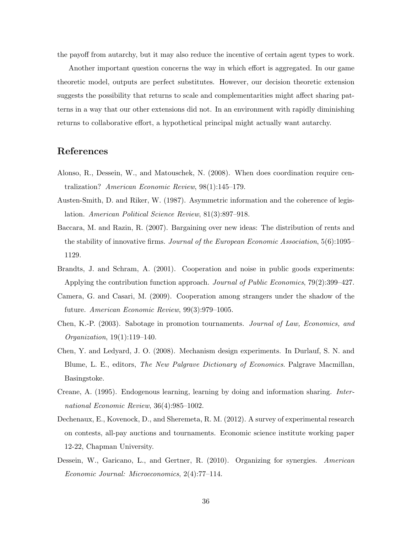the payoff from autarchy, but it may also reduce the incentive of certain agent types to work.

Another important question concerns the way in which effort is aggregated. In our game theoretic model, outputs are perfect substitutes. However, our decision theoretic extension suggests the possibility that returns to scale and complementarities might affect sharing patterns in a way that our other extensions did not. In an environment with rapidly diminishing returns to collaborative effort, a hypothetical principal might actually want autarchy.

## References

- <span id="page-38-5"></span>Alonso, R., Dessein, W., and Matouschek, N. (2008). When does coordination require centralization? American Economic Review, 98(1):145–179.
- <span id="page-38-4"></span>Austen-Smith, D. and Riker, W. (1987). Asymmetric information and the coherence of legislation. American Political Science Review, 81(3):897–918.
- <span id="page-38-7"></span>Baccara, M. and Razin, R. (2007). Bargaining over new ideas: The distribution of rents and the stability of innovative firms. Journal of the European Economic Association, 5(6):1095– 1129.
- <span id="page-38-9"></span>Brandts, J. and Schram, A. (2001). Cooperation and noise in public goods experiments: Applying the contribution function approach. Journal of Public Economics, 79(2):399–427.
- <span id="page-38-8"></span>Camera, G. and Casari, M. (2009). Cooperation among strangers under the shadow of the future. American Economic Review, 99(3):979–1005.
- <span id="page-38-1"></span>Chen, K.-P. (2003). Sabotage in promotion tournaments. Journal of Law, Economics, and Organization, 19(1):119–140.
- <span id="page-38-2"></span>Chen, Y. and Ledyard, J. O. (2008). Mechanism design experiments. In Durlauf, S. N. and Blume, L. E., editors, The New Palgrave Dictionary of Economics. Palgrave Macmillan, Basingstoke.
- <span id="page-38-6"></span>Creane, A. (1995). Endogenous learning, learning by doing and information sharing. International Economic Review, 36(4):985–1002.
- <span id="page-38-3"></span>Dechenaux, E., Kovenock, D., and Sheremeta, R. M. (2012). A survey of experimental research on contests, all-pay auctions and tournaments. Economic science institute working paper 12-22, Chapman University.
- <span id="page-38-0"></span>Dessein, W., Garicano, L., and Gertner, R. (2010). Organizing for synergies. American Economic Journal: Microeconomics, 2(4):77–114.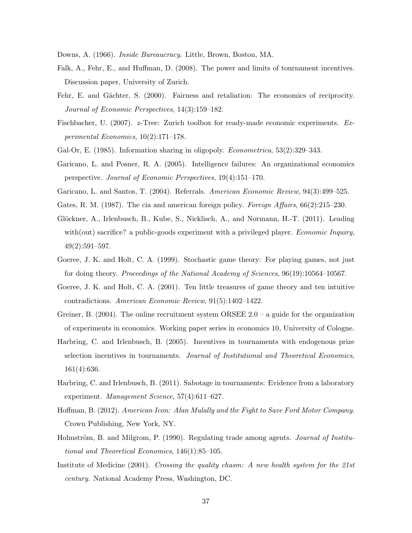- <span id="page-39-7"></span><span id="page-39-3"></span>Downs, A. (1966). Inside Bureaucracy. Little, Brown, Boston, MA.
- Falk, A., Fehr, E., and Huffman, D. (2008). The power and limits of tournament incentives. Discussion paper, University of Zurich.
- <span id="page-39-13"></span>Fehr, E. and Gächter, S. (2000). Fairness and retaliation: The economics of reciprocity. Journal of Economic Perspectives, 14(3):159–182.
- <span id="page-39-12"></span>Fischbacher, U. (2007). z-Tree: Zurich toolbox for ready-made economic experiments. Experimental Economics, 10(2):171–178.
- <span id="page-39-10"></span><span id="page-39-2"></span>Gal-Or, E. (1985). Information sharing in oligopoly. *Econometrica*, 53(2):329–343.
- Garicano, L. and Posner, R. A. (2005). Intelligence failures: An organizational economics perspective. Journal of Economic Perspectives, 19(4):151–170.
- <span id="page-39-5"></span><span id="page-39-4"></span>Garicano, L. and Santos, T. (2004). Referrals. American Economic Review, 94(3):499–525.
- <span id="page-39-14"></span>Gates, R. M. (1987). The cia and american foreign policy. Foreign Affairs,  $66(2):215-230$ .
- Glöckner, A., Irlenbusch, B., Kube, S., Nicklisch, A., and Normann, H.-T. (2011). Leading with(out) sacrifice? a public-goods experiment with a privileged player. *Economic Inquiry*, 49(2):591–597.
- <span id="page-39-16"></span>Goeree, J. K. and Holt, C. A. (1999). Stochastic game theory: For playing games, not just for doing theory. Proceedings of the National Academy of Sciences, 96(19):10564–10567.
- <span id="page-39-15"></span>Goeree, J. K. and Holt, C. A. (2001). Ten little treasures of game theory and ten intuitive contradictions. American Economic Review, 91(5):1402–1422.
- <span id="page-39-11"></span>Greiner, B. (2004). The online recruitment system ORSEE  $2.0 - a$  guide for the organization of experiments in economics. Working paper series in economics 10, University of Cologne.
- <span id="page-39-8"></span>Harbring, C. and Irlenbusch, B. (2005). Incentives in tournaments with endogenous prize selection incentives in tournaments. Journal of Institutional and Theoretical Economics, 161(4):636.
- <span id="page-39-9"></span>Harbring, C. and Irlenbusch, B. (2011). Sabotage in tournaments: Evidence from a laboratory experiment. Management Science, 57(4):611-627.
- <span id="page-39-1"></span>Hoffman, B. (2012). American Icon: Alan Mulally and the Fight to Save Ford Motor Company. Crown Publishing, New York, NY.
- <span id="page-39-6"></span>Holmström, B. and Milgrom, P. (1990). Regulating trade among agents. *Journal of Institu*tional and Theoretical Economics, 146(1):85–105.
- <span id="page-39-0"></span>Institute of Medicine (2001). Crossing the quality chasm: A new health system for the  $21st$ century. National Academy Press, Washington, DC.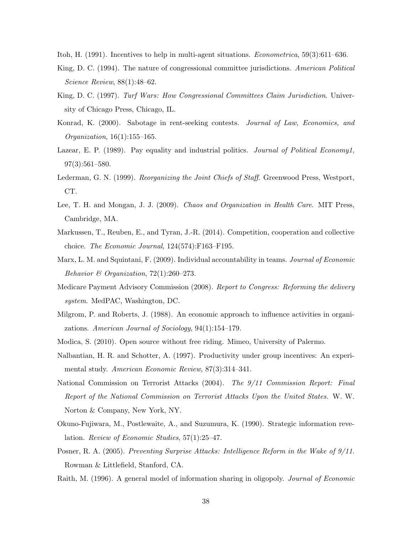<span id="page-40-8"></span><span id="page-40-6"></span>Itoh, H. (1991). Incentives to help in multi-agent situations. Econometrica, 59(3):611–636.

- King, D. C. (1994). The nature of congressional committee jurisdictions. American Political Science Review, 88(1):48–62.
- <span id="page-40-7"></span>King, D. C. (1997). Turf Wars: How Congressional Committees Claim Jurisdiction. University of Chicago Press, Chicago, IL.
- <span id="page-40-13"></span>Konrad, K. (2000). Sabotage in rent-seeking contests. Journal of Law, Economics, and Organization, 16(1):155–165.
- <span id="page-40-10"></span>Lazear, E. P. (1989). Pay equality and industrial politics. Journal of Political Economy1, 97(3):561–580.
- <span id="page-40-0"></span>Lederman, G. N. (1999). Reorganizing the Joint Chiefs of Staff. Greenwood Press, Westport, CT.
- <span id="page-40-3"></span>Lee, T. H. and Mongan, J. J. (2009). Chaos and Organization in Health Care. MIT Press, Cambridge, MA.
- <span id="page-40-12"></span>Markussen, T., Reuben, E., and Tyran, J.-R. (2014). Competition, cooperation and collective choice. The Economic Journal, 124(574):F163–F195.
- <span id="page-40-9"></span>Marx, L. M. and Squintani, F. (2009). Individual accountability in teams. Journal of Economic Behavior & Organization,  $72(1):260-273$ .
- <span id="page-40-2"></span>Medicare Payment Advisory Commission (2008). Report to Congress: Reforming the delivery system. MedPAC, Washington, DC.
- <span id="page-40-5"></span>Milgrom, P. and Roberts, J. (1988). An economic approach to influence activities in organizations. American Journal of Sociology, 94(1):154–179.
- <span id="page-40-16"></span><span id="page-40-11"></span>Modica, S. (2010). Open source without free riding. Mimeo, University of Palermo.
- Nalbantian, H. R. and Schotter, A. (1997). Productivity under group incentives: An experimental study. American Economic Review, 87(3):314–341.
- <span id="page-40-1"></span>National Commission on Terrorist Attacks (2004). The 9/11 Commission Report: Final Report of the National Commission on Terrorist Attacks Upon the United States. W. W. Norton & Company, New York, NY.
- <span id="page-40-14"></span>Okuno-Fujiwara, M., Postlewaite, A., and Suzumura, K. (1990). Strategic information revelation. Review of Economic Studies, 57(1):25–47.
- <span id="page-40-4"></span>Posner, R. A. (2005). Preventing Surprise Attacks: Intelligence Reform in the Wake of 9/11. Rowman & Littlefield, Stanford, CA.
- <span id="page-40-15"></span>Raith, M. (1996). A general model of information sharing in oligopoly. Journal of Economic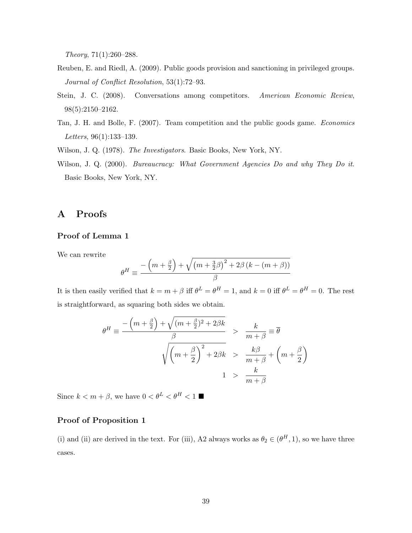Theory, 71(1):260–288.

- <span id="page-41-4"></span>Reuben, E. and Riedl, A. (2009). Public goods provision and sanctioning in privileged groups. Journal of Conflict Resolution, 53(1):72–93.
- <span id="page-41-3"></span>Stein, J. C. (2008). Conversations among competitors. American Economic Review, 98(5):2150–2162.
- <span id="page-41-2"></span>Tan, J. H. and Bolle, F. (2007). Team competition and the public goods game. Economics Letters, 96(1):133–139.

<span id="page-41-1"></span><span id="page-41-0"></span>Wilson, J. Q. (1978). The Investigators. Basic Books, New York, NY.

Wilson, J. Q. (2000). *Bureaucracy: What Government Agencies Do and why They Do it.* Basic Books, New York, NY.

## A Proofs

### Proof of Lemma 1

We can rewrite

$$
\theta^{H} \equiv \frac{-\left(m + \frac{\beta}{2}\right) + \sqrt{\left(m + \frac{3}{2}\beta\right)^{2} + 2\beta\left(k - \left(m + \beta\right)\right)}}{\beta}
$$

It is then easily verified that  $k = m + \beta$  iff  $\theta^L = \theta^H = 1$ , and  $k = 0$  iff  $\theta^L = \theta^H = 0$ . The rest is straightforward, as squaring both sides we obtain.

$$
\theta^H \equiv \frac{-\left(m + \frac{\beta}{2}\right) + \sqrt{(m + \frac{\beta}{2})^2 + 2\beta k}}{\beta} > \frac{k}{m + \beta} \equiv \overline{\theta}
$$
  

$$
\sqrt{\left(m + \frac{\beta}{2}\right)^2 + 2\beta k} > \frac{k\beta}{m + \beta} + \left(m + \frac{\beta}{2}\right)
$$
  

$$
1 > \frac{k}{m + \beta}
$$

Since  $k < m + \beta$ , we have  $0 < \theta^L < \theta^H < 1$ 

## Proof of Proposition 1

(i) and (ii) are derived in the text. For (iii), A2 always works as  $\theta_2 \in (\theta^H, 1)$ , so we have three cases.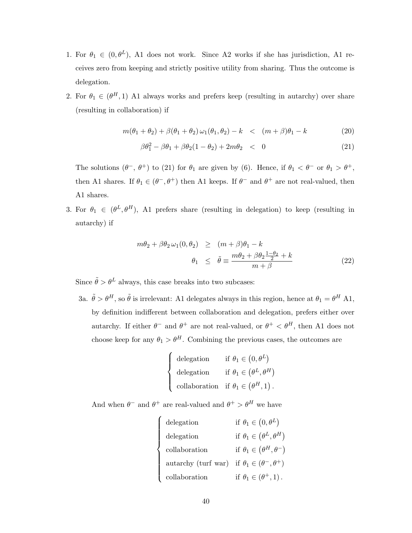- 1. For  $\theta_1 \in (0, \theta^L)$ , A1 does not work. Since A2 works if she has jurisdiction, A1 receives zero from keeping and strictly positive utility from sharing. Thus the outcome is delegation.
- 2. For  $\theta_1 \in (\theta^H, 1)$  A1 always works and prefers keep (resulting in autarchy) over share (resulting in collaboration) if

<span id="page-42-0"></span>
$$
m(\theta_1 + \theta_2) + \beta(\theta_1 + \theta_2)\,\omega_1(\theta_1, \theta_2) - k \quad < \quad (m + \beta)\theta_1 - k \tag{20}
$$

$$
\beta \theta_1^2 - \beta \theta_1 + \beta \theta_2 (1 - \theta_2) + 2m \theta_2 < 0 \tag{21}
$$

The solutions  $(\theta^-$ ,  $\theta^+$ ) to [\(21\)](#page-42-0) for  $\theta_1$  are given by (6). Hence, if  $\theta_1 < \theta^-$  or  $\theta_1 > \theta^+$ , then A1 shares. If  $\theta_1 \in (\theta^-,\theta^+)$  then A1 keeps. If  $\theta^-$  and  $\theta^+$  are not real-valued, then A1 shares.

3. For  $\theta_1 \in (\theta^L, \theta^H)$ , A1 prefers share (resulting in delegation) to keep (resulting in autarchy) if

$$
m\theta_2 + \beta \theta_2 \omega_1(0, \theta_2) \ge (m + \beta)\theta_1 - k
$$
  

$$
\theta_1 \le \tilde{\theta} \equiv \frac{m\theta_2 + \beta \theta_2 \frac{1 - \theta_2}{2} + k}{m + \beta}
$$
 (22)

Since  $\tilde{\theta} > \theta^L$  always, this case breaks into two subcases:

3a.  $\tilde{\theta} > \theta^H$ , so  $\tilde{\theta}$  is irrelevant: A1 delegates always in this region, hence at  $\theta_1 = \theta^H$  A1, by definition indifferent between collaboration and delegation, prefers either over autarchy. If either  $\theta^-$  and  $\theta^+$  are not real-valued, or  $\theta^+ < \theta^H$ , then A1 does not choose keep for any  $\theta_1 > \theta^H$ . Combining the previous cases, the outcomes are

$$
\begin{cases}\n\text{delegation} & \text{if } \theta_1 \in (0, \theta^L) \\
\text{delegation} & \text{if } \theta_1 \in (\theta^L, \theta^H) \\
\text{collaboration} & \text{if } \theta_1 \in (\theta^H, 1).\n\end{cases}
$$

And when  $\theta^-$  and  $\theta^+$  are real-valued and  $\theta^+ > \theta^H$  we have

 $\sqrt{ }$ 

 $\begin{array}{c} \hline \end{array}$ 

 $\begin{array}{|c|c|} \hline \rule{0pt}{12pt} \rule{0pt}{2pt} \rule{0pt}{2pt} \rule{0pt}{2pt} \rule{0pt}{2pt} \rule{0pt}{2pt} \rule{0pt}{2pt} \rule{0pt}{2pt} \rule{0pt}{2pt} \rule{0pt}{2pt} \rule{0pt}{2pt} \rule{0pt}{2pt} \rule{0pt}{2pt} \rule{0pt}{2pt} \rule{0pt}{2pt} \rule{0pt}{2pt} \rule{0pt}{2pt} \rule{0pt}{2pt} \rule{0pt}{2pt} \rule{0pt}{2pt} \rule{0pt}{2pt} \rule{0pt}{2pt} \rule{0pt}{2$ 

\n
$$
\text{delegation} \quad \text{if } \theta_1 \in (0, \theta^L)
$$
\n

\n\n
$$
\text{delegation} \quad \text{if } \theta_1 \in (\theta^L, \theta^H)
$$
\n

\n\n
$$
\text{collaboration} \quad \text{if } \theta_1 \in (\theta^H, \theta^-)
$$
\n

\n\n
$$
\text{autarchy (turf war)} \quad \text{if } \theta_1 \in (\theta^-, \theta^+)
$$
\n

\n\n
$$
\text{collaboration} \quad \text{if } \theta_1 \in (\theta^+, 1).
$$
\n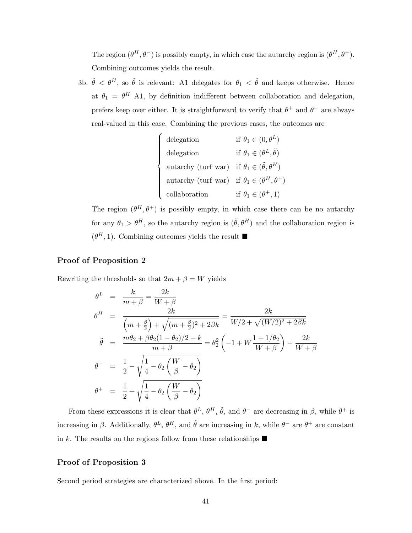The region  $(\theta^H, \theta^-)$  is possibly empty, in which case the autarchy region is  $(\theta^H, \theta^+)$ . Combining outcomes yields the result.

3b.  $\tilde{\theta} < \theta^H$ , so  $\tilde{\theta}$  is relevant: A1 delegates for  $\theta_1 < \tilde{\theta}$  and keeps otherwise. Hence at  $\theta_1 = \theta^H$  A1, by definition indifferent between collaboration and delegation, prefers keep over either. It is straightforward to verify that  $\theta^+$  and  $\theta^-$  are always real-valued in this case. Combining the previous cases, the outcomes are

$$
\begin{cases}\n\text{delegation} & \text{if } \theta_1 \in (0, \theta^L) \\
\text{delegation} & \text{if } \theta_1 \in (\theta^L, \tilde{\theta}) \\
\text{autarchy (turf war) if } \theta_1 \in (\tilde{\theta}, \theta^H) \\
\text{autarchy (turf war) if } \theta_1 \in (\theta^H, \theta^+) \\
\text{collaboration} & \text{if } \theta_1 \in (\theta^+, 1)\n\end{cases}
$$

The region  $(\theta^H, \theta^+)$  is possibly empty, in which case there can be no autarchy for any  $\theta_1 > \theta^H$ , so the autarchy region is  $(\tilde{\theta}, \theta^H)$  and the collaboration region is  $(\theta^H, 1)$ . Combining outcomes yields the result  $\blacksquare$ 

## Proof of Proposition 2

Rewriting the thresholds so that  $2m+\beta=W$  yields

$$
\theta^{L} = \frac{k}{m+\beta} = \frac{2k}{W+\beta}
$$
\n
$$
\theta^{H} = \frac{2k}{(m+\frac{\beta}{2}) + \sqrt{(m+\frac{\beta}{2})^{2} + 2\beta k}} = \frac{2k}{W/2 + \sqrt{(W/2)^{2} + 2\beta k}}
$$
\n
$$
\tilde{\theta} = \frac{m\theta_{2} + \beta\theta_{2}(1-\theta_{2})/2 + k}{m+\beta} = \theta_{2}^{2} \left(-1 + W\frac{1+1/\theta_{2}}{W+\beta}\right) + \frac{2k}{W+\beta}
$$
\n
$$
\theta^{-} = \frac{1}{2} - \sqrt{\frac{1}{4} - \theta_{2} \left(\frac{W}{\beta} - \theta_{2}\right)}
$$
\n
$$
\theta^{+} = \frac{1}{2} + \sqrt{\frac{1}{4} - \theta_{2} \left(\frac{W}{\beta} - \theta_{2}\right)}
$$

From these expressions it is clear that  $\theta^L$ ,  $\theta^H$ ,  $\tilde{\theta}$ , and  $\theta^-$  are decreasing in  $\beta$ , while  $\theta^+$  is increasing in  $\beta$ . Additionally,  $\theta^L$ ,  $\theta^H$ , and  $\tilde{\theta}$  are increasing in k, while  $\theta^-$  are  $\theta^+$  are constant in k. The results on the regions follow from these relationships  $\blacksquare$ 

## Proof of Proposition 3

Second period strategies are characterized above. In the first period: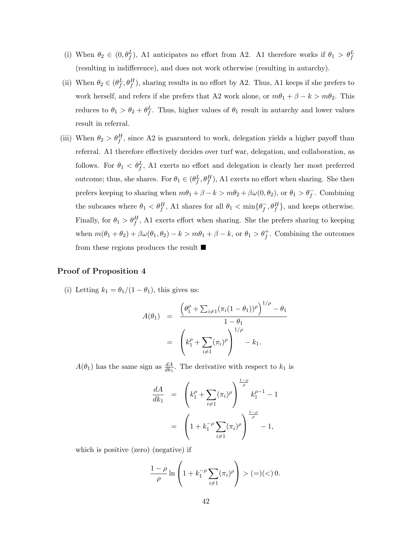- (i) When  $\theta_2 \in (0, \theta_f^L)$ , A1 anticipates no effort from A2. A1 therefore works if  $\theta_1 > \theta_f^L$ (resulting in indifference), and does not work otherwise (resulting in autarchy).
- (ii) When  $\theta_2 \in (\theta_f^L, \theta_f^H)$ , sharing results in no effort by A2. Thus, A1 keeps if she prefers to work herself, and refers if she prefers that A2 work alone, or  $m\theta_1 + \beta - k > m\theta_2$ . This reduces to  $\theta_1 > \theta_2 + \theta_f^L$ . Thus, higher values of  $\theta_1$  result in autarchy and lower values result in referral.
- (iii) When  $\theta_2 > \theta_f^H$ , since A2 is guaranteed to work, delegation yields a higher payoff than referral. A1 therefore effectively decides over turf war, delegation, and collaboration, as follows. For  $\theta_1 \, \langle \theta_f^L, A_1 \rangle$  exerts no effort and delegation is clearly her most preferred outcome; thus, she shares. For  $\theta_1 \in (\theta_f^L, \theta_f^H)$ , A1 exerts no effort when sharing. She then prefers keeping to sharing when  $m\theta_1 + \beta - k > m\theta_2 + \beta\omega(0, \theta_2)$ , or  $\theta_1 > \theta_f^-$ . Combining the subcases where  $\theta_1 < \theta_f^H$ , A1 shares for all  $\theta_1 < \min\{\theta_f^-\}$  $\bar{f}, \theta_f^H$ , and keeps otherwise. Finally, for  $\theta_1 > \theta_f^H$ , A1 exerts effort when sharing. She the prefers sharing to keeping when  $m(\theta_1 + \theta_2) + \beta \omega(\theta_1, \theta_2) - k > m\theta_1 + \beta - k$ , or  $\theta_1 > \theta_f^+$ . Combining the outcomes from these regions produces the result  $\blacksquare$

## Proof of Proposition 4

(i) Letting  $k_1 = \theta_1/(1 - \theta_1)$ , this gives us:

$$
A(\theta_1) = \frac{\left(\theta_1^{\rho} + \sum_{i \neq 1} (\pi_i (1 - \theta_1))^{\rho}\right)^{1/\rho} - \theta_1}{1 - \theta_1}
$$
  
=  $\left(k_1^{\rho} + \sum_{i \neq 1} (\pi_i)^{\rho}\right)^{1/\rho} - k_1.$ 

 $A(\theta_1)$  has the same sign as  $\frac{dA}{dk_1}$ . The derivative with respect to  $k_1$  is

$$
\frac{dA}{dk_1} = \left(k_1^{\rho} + \sum_{i \neq 1} (\pi_i)^{\rho}\right)^{\frac{1-\rho}{\rho}} k_1^{\rho-1} - 1
$$

$$
= \left(1 + k_1^{-\rho} \sum_{i \neq 1} (\pi_i)^{\rho}\right)^{\frac{1-\rho}{\rho}} - 1,
$$

which is positive (zero) (negative) if

$$
\frac{1-\rho}{\rho}\ln\left(1+k_1^{-\rho}\sum_{i\neq 1}(\pi_i)^{\rho}\right)>(=)(<)0.
$$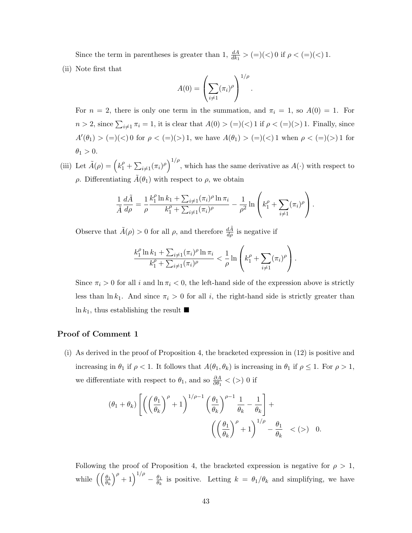Since the term in parentheses is greater than 1,  $\frac{dA}{dk_1} > (=)(<) 0$  if  $\rho < (=)(<) 1$ . (ii) Note first that

$$
A(0) = \left(\sum_{i \neq 1} (\pi_i)^{\rho}\right)^{1/\rho}.
$$

For  $n = 2$ , there is only one term in the summation, and  $\pi_i = 1$ , so  $A(0) = 1$ . For  $n > 2$ , since  $\sum_{i \neq 1} \pi_i = 1$ , it is clear that  $A(0) > (=)(<) 1$  if  $\rho < (=)(>) 1$ . Finally, since  $A'(\theta_1) > (=)(<) 0$  for  $\rho < (=)(>) 1$ , we have  $A(\theta_1) > (=)(<) 1$  when  $\rho < (=)(>) 1$  for  $\theta_1 > 0$ .

(iii) Let  $\tilde{A}(\rho) = \left(k_1^{\rho} + \sum_{i \neq 1} (\pi_i)^{\rho}\right)^{1/\rho}$ , which has the same derivative as  $A(\cdot)$  with respect to  $ρ$ . Differentiating  $A(θ_1)$  with respect to  $ρ$ , we obtain

$$
\frac{1}{\tilde{A}}\frac{d\tilde{A}}{d\rho} = \frac{1}{\rho}\frac{k_1^{\rho}\ln k_1 + \sum_{i\neq 1}(\pi_i)^{\rho}\ln \pi_i}{k_1^{\rho} + \sum_{i\neq 1}(\pi_i)^{\rho}} - \frac{1}{\rho^2}\ln\left(k_1^{\rho} + \sum_{i\neq 1}(\pi_i)^{\rho}\right).
$$

Observe that  $\tilde{A}(\rho) > 0$  for all  $\rho$ , and therefore  $\frac{d\tilde{A}}{d\rho}$  is negative if

$$
\frac{k_1^{\rho} \ln k_1 + \sum_{i \neq 1} (\pi_i)^{\rho} \ln \pi_i}{k_1^{\rho} + \sum_{i \neq 1} (\pi_i)^{\rho}} < \frac{1}{\rho} \ln \left( k_1^{\rho} + \sum_{i \neq 1} (\pi_i)^{\rho} \right).
$$

Since  $\pi_i > 0$  for all i and  $\ln \pi_i < 0$ , the left-hand side of the expression above is strictly less than  $\ln k_1$ . And since  $\pi_i > 0$  for all i, the right-hand side is strictly greater than  $\ln k_1$ , thus establishing the result  $\blacksquare$ 

## Proof of Comment 1

(i) As derived in the proof of Proposition [4,](#page-31-0) the bracketed expression in [\(12\)](#page-32-0) is positive and increasing in  $\theta_1$  if  $\rho < 1$ . It follows that  $A(\theta_1, \theta_k)$  is increasing in  $\theta_1$  if  $\rho \leq 1$ . For  $\rho > 1$ , we differentiate with respect to  $\theta_1$ , and so  $\frac{\partial A}{\partial \theta_1}$  < (>) 0 if

$$
\begin{aligned} &(\theta_1+\theta_k)\left[\left(\left(\frac{\theta_1}{\theta_k}\right)^{\rho}+1\right)^{1/\rho-1}\left(\frac{\theta_1}{\theta_k}\right)^{\rho-1}\frac{1}{\theta_k}-\frac{1}{\theta_k}\right]+\\ &\qquad \qquad \left(\left(\frac{\theta_1}{\theta_k}\right)^{\rho}+1\right)^{1/\rho}-\frac{\theta_1}{\theta_k}\quad <(>)\quad 0.\end{aligned}
$$

Following the proof of Proposition [4,](#page-31-0) the bracketed expression is negative for  $\rho > 1$ , while  $\left(\begin{array}{c} \theta_1 \\ \overline{\theta_k} \end{array}\right)$  $\int_{\rho}^{\rho} + 1 \right)^{1/\rho} - \frac{\theta_1}{\theta_1}$  $\frac{\theta_1}{\theta_k}$  is positive. Letting  $k = \theta_1/\theta_k$  and simplifying, we have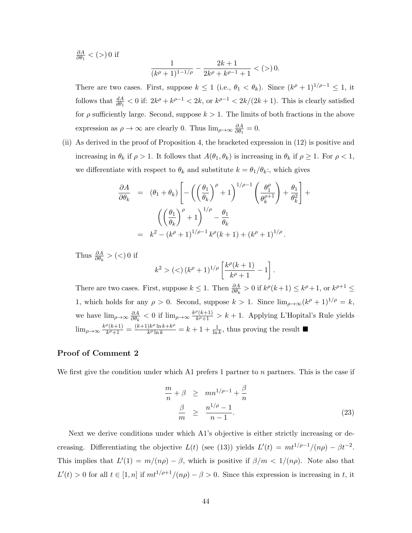$$
\frac{\partial A}{\partial \theta_1} < (>)\,0 \text{ if } \quad \frac{1}{(k^{\rho}+1)^{1-1/\rho}} - \frac{2k+1}{2k^{\rho}+k^{\rho-1}+1} < (>)\,0.
$$

There are two cases. First, suppose  $k \leq 1$  (i.e.,  $\theta_1 < \theta_k$ ). Since  $(k^{\rho} + 1)^{1/\rho - 1} \leq 1$ , it follows that  $\frac{dA}{d\theta_1} < 0$  if:  $2k^{\rho} + k^{\rho-1} < 2k$ , or  $k^{\rho-1} < 2k/(2k+1)$ . This is clearly satisfied for  $\rho$  sufficiently large. Second, suppose  $k > 1$ . The limits of both fractions in the above expression as  $\rho \to \infty$  are clearly 0. Thus  $\lim_{\rho \to \infty} \frac{\partial A}{\partial \theta_1}$  $\frac{\partial A}{\partial \theta_1} = 0.$ 

(ii) As derived in the proof of Proposition [4,](#page-31-0) the bracketed expression in [\(12\)](#page-32-0) is positive and increasing in  $\theta_k$  if  $\rho > 1$ . It follows that  $A(\theta_1, \theta_k)$  is increasing in  $\theta_k$  if  $\rho \geq 1$ . For  $\rho < 1$ , we differentiate with respect to  $\theta_k$  and substitute  $k = \theta_1/\theta_k$ ; which gives

$$
\frac{\partial A}{\partial \theta_k} = (\theta_1 + \theta_k) \left[ -\left( \left( \frac{\theta_1}{\theta_k} \right)^{\rho} + 1 \right)^{1/\rho - 1} \left( \frac{\theta_1^{\rho}}{\theta_k^{\rho + 1}} \right) + \frac{\theta_1}{\theta_k^2} \right] + \left( \left( \frac{\theta_1}{\theta_k} \right)^{\rho} + 1 \right)^{1/\rho} - \frac{\theta_1}{\theta_k} = k^2 - (k^{\rho} + 1)^{1/\rho - 1} k^{\rho} (k + 1) + (k^{\rho} + 1)^{1/\rho}.
$$

Thus  $\frac{\partial A}{\partial \theta_k}$  > (<) 0 if

$$
k^2 >(<) \, (k^\rho+1)^{1/\rho} \left[ \frac{k^\rho (k+1)}{k^\rho+1} - 1 \right].
$$

There are two cases. First, suppose  $k \leq 1$ . Then  $\frac{\partial A}{\partial \theta_k} > 0$  if  $k^{\rho}(k+1) \leq k^{\rho}+1$ , or  $k^{\rho+1} \leq$ 1, which holds for any  $\rho > 0$ . Second, suppose  $k > 1$ . Since  $\lim_{\rho \to \infty} (k^{\rho} + 1)^{1/\rho} = k$ , we have  $\lim_{\rho \to \infty} \frac{\partial A}{\partial \theta_k}$  $\frac{\partial A}{\partial \theta_k} < 0$  if  $\lim_{\rho \to \infty} \frac{k^{\rho}(k+1)}{k^{\rho}+1}$  $\frac{f(k+1)}{k^p+1} > k+1$ . Applying L'Hopital's Rule yields  $\lim_{\rho\to\infty}\frac{k^{\rho}(k+1)}{k^{\rho}+1}$  $\frac{\rho(k+1)}{k^{\rho}+1} = \frac{(k+1)k^{\rho}\ln k + k^{\rho}}{k^{\rho}\ln k}$  $\frac{e^{k\theta} \ln k + k^{\theta}}{k^{\theta} \ln k} = k + 1 + \frac{1}{\ln k}$ , thus proving the result  $\blacksquare$ 

## Proof of Comment 2

We first give the condition under which A1 prefers 1 partner to  $n$  partners. This is the case if

<span id="page-46-0"></span>
$$
\frac{m}{n} + \beta \ge mn^{1/\rho - 1} + \frac{\beta}{n}
$$
  

$$
\frac{\beta}{m} \ge \frac{n^{1/\rho} - 1}{n - 1}.
$$
 (23)

Next we derive conditions under which A1's objective is either strictly increasing or decreasing. Differentiating the objective  $L(t)$  (see [\(13\)](#page-33-0)) yields  $L'(t) = mt^{1/\rho-1}/(n\rho) - \beta t^{-2}$ . This implies that  $L'(1) = m/(n\rho) - \beta$ , which is positive if  $\beta/m < 1/(n\rho)$ . Note also that  $L'(t) > 0$  for all  $t \in [1, n]$  if  $m t^{1/\rho+1}/(n\rho) - \beta > 0$ . Since this expression is increasing in t, it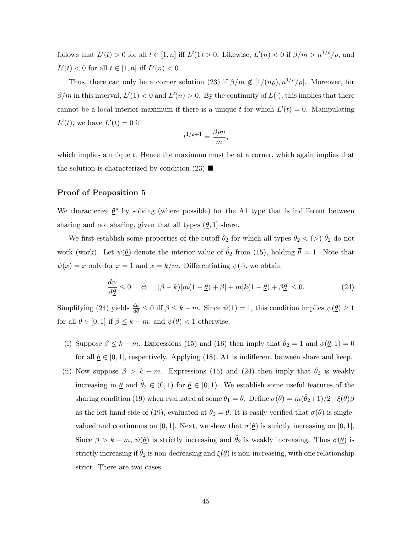follows that  $L'(t) > 0$  for all  $t \in [1, n]$  iff  $L'(1) > 0$ . Likewise,  $L'(n) < 0$  if  $\beta/m > n^{1/\rho}/\rho$ , and  $L'(t) < 0$  for all  $t \in [1, n]$  iff  $L'(n) < 0$ .

Thus, there can only be a corner solution [\(23\)](#page-46-0) if  $\beta/m \notin [1/(n\rho), n^{1/\rho}/\rho]$ . Moreover, for  $\beta/m$  in this interval,  $L'(1) < 0$  and  $L'(n) > 0$ . By the continuity of  $L(\cdot)$ , this implies that there cannot be a local interior maximum if there is a unique t for which  $L'(t) = 0$ . Manipulating  $L'(t)$ , we have  $L'(t) = 0$  if

$$
t^{1/\rho+1} = \frac{\beta \rho n}{m},
$$

which implies a unique  $t$ . Hence the maximum must be at a corner, which again implies that the solution is characterized by condition  $(23)$ 

## Proof of Proposition 5

We characterize  $\underline{\theta}^*$  by solving (where possible) for the A1 type that is indifferent between sharing and not sharing, given that all types  $(\theta, 1]$  share.

We first establish some properties of the cutoff  $\hat{\theta}_2$  for which all types  $\theta_2 < (>) \hat{\theta}_2$  do not work (work). Let  $\psi(\underline{\theta})$  denote the interior value of  $\hat{\theta}_2$  from [\(15\)](#page-34-1), holding  $\overline{\theta} = 1$ . Note that  $\psi(x) = x$  only for  $x = 1$  and  $x = k/m$ . Differentiating  $\psi(\cdot)$ , we obtain

<span id="page-47-0"></span>
$$
\frac{d\psi}{d\underline{\theta}} \le 0 \quad \Leftrightarrow \quad (\beta - k)[m(1 - \underline{\theta}) + \beta] + m[k(1 - \underline{\theta}) + \beta \underline{\theta}] \le 0. \tag{24}
$$

Simplifying [\(24\)](#page-47-0) yields  $\frac{d\psi}{d\theta} \leq 0$  iff  $\beta \leq k - m$ . Since  $\psi(1) = 1$ , this condition implies  $\psi(\underline{\theta}) \geq 1$ for all  $\underline{\theta} \in [0,1]$  if  $\beta \leq k - m$ , and  $\psi(\underline{\theta}) < 1$  otherwise.

- (i) Suppose  $\beta \leq k m$ . Expressions [\(15\)](#page-34-1) and [\(16\)](#page-35-1) then imply that  $\hat{\theta}_2 = 1$  and  $\phi(\underline{\theta}, 1) = 0$ for all  $\theta \in [0, 1]$ , respectively. Applying [\(18\)](#page-35-2), A1 is indifferent between share and keep.
- (ii) Now suppose  $\beta > k m$ . Expressions [\(15\)](#page-34-1) and [\(24\)](#page-47-0) then imply that  $\hat{\theta}_2$  is weakly increasing in  $\underline{\theta}$  and  $\hat{\theta}_2 \in (0,1)$  for  $\underline{\theta} \in [0,1)$ . We establish some useful features of the sharing condition [\(19\)](#page-35-0) when evaluated at some  $\theta_1 = \underline{\theta}$ . Define  $\sigma(\underline{\theta}) = m(\hat{\theta}_2 + 1)/2 - \xi(\underline{\theta})\beta$ as the left-hand side of [\(19\)](#page-35-0), evaluated at  $\theta_1 = \underline{\theta}$ . It is easily verified that  $\sigma(\underline{\theta})$  is singlevalued and continuous on [0, 1]. Next, we show that  $\sigma(\theta)$  is strictly increasing on [0, 1]. Since  $\beta > k - m$ ,  $\psi(\underline{\theta})$  is strictly increasing and  $\hat{\theta}_2$  is weakly increasing. Thus  $\sigma(\underline{\theta})$  is strictly increasing if  $\hat{\theta}_2$  is non-decreasing and  $\xi(\underline{\theta})$  is non-increasing, with one relationship strict. There are two cases.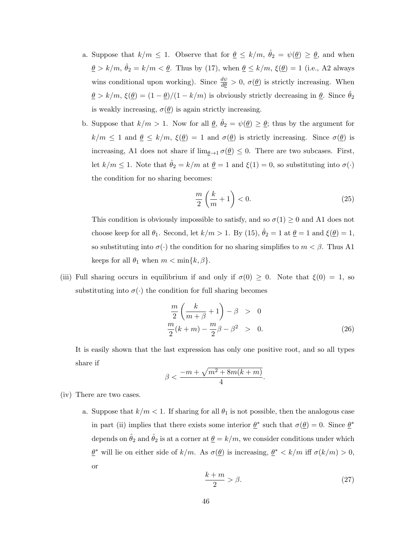- a. Suppose that  $k/m \leq 1$ . Observe that for  $\underline{\theta} \leq k/m$ ,  $\hat{\theta}_2 = \psi(\underline{\theta}) \geq \underline{\theta}$ , and when  $\underline{\theta} > k/m, \hat{\theta}_2 = k/m < \underline{\theta}$ . Thus by [\(17\)](#page-35-3), when  $\underline{\theta} \le k/m, \xi(\underline{\theta}) = 1$  (i.e., A2 always wins conditional upon working). Since  $\frac{d\psi}{d\theta} > 0$ ,  $\sigma(\underline{\theta})$  is strictly increasing. When  $\underline{\theta} > k/m$ ,  $\xi(\underline{\theta}) = (1 - \underline{\theta})/(1 - k/m)$  is obviously strictly decreasing in  $\underline{\theta}$ . Since  $\hat{\theta}_2$ is weakly increasing,  $\sigma(\underline{\theta})$  is again strictly increasing.
- b. Suppose that  $k/m > 1$ . Now for all  $\theta$ ,  $\hat{\theta}_2 = \psi(\theta) \ge \theta$ ; thus by the argument for  $k/m \leq 1$  and  $\underline{\theta} \leq k/m$ ,  $\xi(\underline{\theta}) = 1$  and  $\sigma(\underline{\theta})$  is strictly increasing. Since  $\sigma(\underline{\theta})$  is increasing, A1 does not share if  $\lim_{\underline{\theta}\to 1} \sigma(\underline{\theta}) \leq 0$ . There are two subcases. First, let  $k/m \le 1$ . Note that  $\hat{\theta}_2 = k/m$  at  $\underline{\theta} = 1$  and  $\xi(1) = 0$ , so substituting into  $\sigma(\cdot)$ the condition for no sharing becomes:

$$
\frac{m}{2}\left(\frac{k}{m}+1\right)<0.\tag{25}
$$

This condition is obviously impossible to satisfy, and so  $\sigma(1) \geq 0$  and A1 does not choose keep for all  $\theta_1$ . Second, let  $k/m > 1$ . By [\(15\)](#page-34-1),  $\hat{\theta}_2 = 1$  at  $\underline{\theta} = 1$  and  $\xi(\underline{\theta}) = 1$ , so substituting into  $\sigma(\cdot)$  the condition for no sharing simplifies to  $m < \beta$ . Thus A1 keeps for all  $\theta_1$  when  $m < \min\{k, \beta\}.$ 

(iii) Full sharing occurs in equilibrium if and only if  $\sigma(0) \geq 0$ . Note that  $\xi(0) = 1$ , so substituting into  $\sigma(\cdot)$  the condition for full sharing becomes

$$
\frac{m}{2}\left(\frac{k}{m+\beta}+1\right)-\beta > 0
$$
  

$$
\frac{m}{2}(k+m) - \frac{m}{2}\beta - \beta^2 > 0.
$$
 (26)

.

It is easily shown that the last expression has only one positive root, and so all types share if

$$
\beta < \frac{-m + \sqrt{m^2 + 8m(k+m)}}{4}
$$

- (iv) There are two cases.
	- a. Suppose that  $k/m < 1$ . If sharing for all  $\theta_1$  is not possible, then the analogous case in part (ii) implies that there exists some interior  $\underline{\theta}^*$  such that  $\sigma(\underline{\theta}) = 0$ . Since  $\underline{\theta}^*$ depends on  $\hat{\theta}_2$  and  $\hat{\theta}_2$  is at a corner at  $\underline{\theta} = k/m$ , we consider conditions under which  $\underline{\theta}^*$  will lie on either side of  $k/m$ . As  $\sigma(\underline{\theta})$  is increasing,  $\underline{\theta}^* < k/m$  iff  $\sigma(k/m) > 0$ , or

<span id="page-48-0"></span>
$$
\frac{k+m}{2} > \beta.
$$
 (27)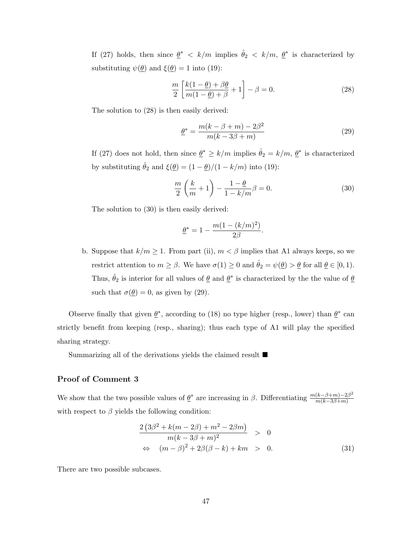If [\(27\)](#page-48-0) holds, then since  $\underline{\theta}^* < k/m$  implies  $\hat{\theta}_2 < k/m$ ,  $\underline{\theta}^*$  is characterized by substituting  $\psi(\underline{\theta})$  and  $\xi(\underline{\theta}) = 1$  into [\(19\)](#page-35-0):

<span id="page-49-0"></span>
$$
\frac{m}{2} \left[ \frac{k(1-\underline{\theta}) + \beta \underline{\theta}}{m(1-\underline{\theta}) + \beta} + 1 \right] - \beta = 0.
$$
\n(28)

The solution to [\(28\)](#page-49-0) is then easily derived:

<span id="page-49-2"></span>
$$
\underline{\theta}^* = \frac{m(k - \beta + m) - 2\beta^2}{m(k - 3\beta + m)}\tag{29}
$$

If [\(27\)](#page-48-0) does not hold, then since  $\underline{\theta}^* \ge k/m$  implies  $\hat{\theta}_2 = k/m$ ,  $\underline{\theta}^*$  is characterized by substituting  $\hat{\theta}_2$  and  $\xi(\underline{\theta}) = (1 - \underline{\theta})/(1 - k/m)$  into [\(19\)](#page-35-0):

<span id="page-49-1"></span>
$$
\frac{m}{2}\left(\frac{k}{m}+1\right) - \frac{1-\theta}{1-k/m}\beta = 0.
$$
\n(30)

The solution to [\(30\)](#page-49-1) is then easily derived:

$$
\underline{\theta}^* = 1 - \frac{m(1 - (k/m)^2)}{2\beta}.
$$

b. Suppose that  $k/m \ge 1$ . From part (ii),  $m < \beta$  implies that A1 always keeps, so we restrict attention to  $m \ge \beta$ . We have  $\sigma(1) \ge 0$  and  $\hat{\theta}_2 = \psi(\underline{\theta}) > \underline{\theta}$  for all  $\underline{\theta} \in [0,1)$ . Thus,  $\hat{\theta}_2$  is interior for all values of  $\underline{\theta}$  and  $\underline{\theta}^*$  is characterized by the the value of  $\underline{\theta}$ such that  $\sigma(\underline{\theta}) = 0$ , as given by [\(29\)](#page-49-2).

Observe finally that given  $\underline{\theta}^*$ , according to [\(18\)](#page-35-2) no type higher (resp., lower) than  $\underline{\theta}^*$  can strictly benefit from keeping (resp., sharing); thus each type of A1 will play the specified sharing strategy.

Summarizing all of the derivations yields the claimed result  $\blacksquare$ 

## Proof of Comment 3

We show that the two possible values of  $\underline{\theta}^*$  are increasing in  $\beta$ . Differentiating  $\frac{m(k-\beta+m)-2\beta^2}{m(k-3\beta+m)}$  $m(k-3\beta+m)$ with respect to  $\beta$  yields the following condition:

<span id="page-49-3"></span>
$$
\frac{2(3\beta^2 + k(m - 2\beta) + m^2 - 2\beta m)}{m(k - 3\beta + m)^2} > 0
$$
  
\n
$$
\Leftrightarrow (m - \beta)^2 + 2\beta(\beta - k) + km > 0.
$$
\n(31)

There are two possible subcases.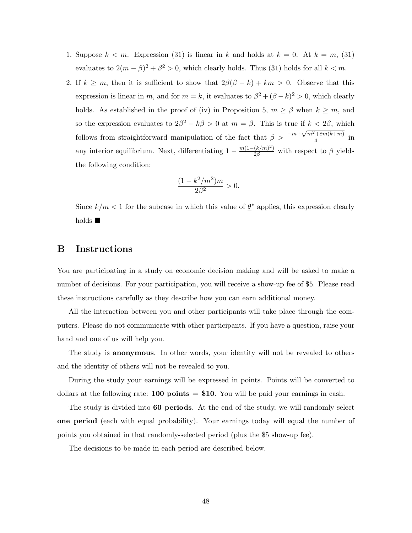- 1. Suppose  $k < m$ . Expression [\(31\)](#page-49-3) is linear in k and holds at  $k = 0$ . At  $k = m$ , (31) evaluates to  $2(m - \beta)^2 + \beta^2 > 0$ , which clearly holds. Thus [\(31\)](#page-49-3) holds for all  $k < m$ .
- 2. If  $k \geq m$ , then it is sufficient to show that  $2\beta(\beta k) + km > 0$ . Observe that this expression is linear in m, and for  $m = k$ , it evaluates to  $\beta^2 + (\beta - k)^2 > 0$ , which clearly holds. As established in the proof of (iv) in Proposition [5,](#page-36-0)  $m \ge \beta$  when  $k \ge m$ , and so the expression evaluates to  $2\beta^2 - k\beta > 0$  at  $m = \beta$ . This is true if  $k < 2\beta$ , which follows from straightforward manipulation of the fact that  $\beta > \frac{-m+\sqrt{m^2+8m(k+m)}}{4}$  $\frac{1}{4}$  in any interior equilibrium. Next, differentiating  $1 - \frac{m(1 - (k/m)^2)}{2\beta}$  with respect to  $\beta$  yields the following condition:

$$
\frac{(1 - k^2/m^2)m}{2\beta^2} > 0.
$$

Since  $k/m < 1$  for the subcase in which this value of  $\underline{\theta}^*$  applies, this expression clearly holds  $\blacksquare$ 

## B Instructions

You are participating in a study on economic decision making and will be asked to make a number of decisions. For your participation, you will receive a show-up fee of \$5. Please read these instructions carefully as they describe how you can earn additional money.

All the interaction between you and other participants will take place through the computers. Please do not communicate with other participants. If you have a question, raise your hand and one of us will help you.

The study is anonymous. In other words, your identity will not be revealed to others and the identity of others will not be revealed to you.

During the study your earnings will be expressed in points. Points will be converted to dollars at the following rate: **100 points = \$10**. You will be paid your earnings in cash.

The study is divided into **60 periods**. At the end of the study, we will randomly select one period (each with equal probability). Your earnings today will equal the number of points you obtained in that randomly-selected period (plus the \$5 show-up fee).

The decisions to be made in each period are described below.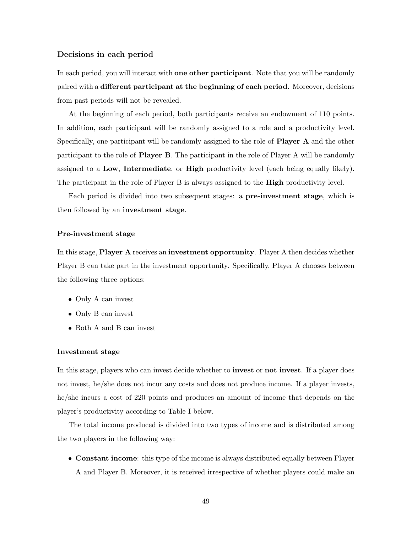### Decisions in each period

In each period, you will interact with **one other participant**. Note that you will be randomly paired with a different participant at the beginning of each period. Moreover, decisions from past periods will not be revealed.

At the beginning of each period, both participants receive an endowment of 110 points. In addition, each participant will be randomly assigned to a role and a productivity level. Specifically, one participant will be randomly assigned to the role of **Player A** and the other participant to the role of Player B. The participant in the role of Player A will be randomly assigned to a Low, Intermediate, or High productivity level (each being equally likely). The participant in the role of Player B is always assigned to the **High** productivity level.

Each period is divided into two subsequent stages: a pre-investment stage, which is then followed by an investment stage.

#### Pre-investment stage

In this stage, Player A receives an investment opportunity. Player A then decides whether Player B can take part in the investment opportunity. Specifically, Player A chooses between the following three options:

- Only A can invest
- Only B can invest
- Both A and B can invest

#### Investment stage

In this stage, players who can invest decide whether to **invest** or **not invest**. If a player does not invest, he/she does not incur any costs and does not produce income. If a player invests, he/she incurs a cost of 220 points and produces an amount of income that depends on the player's productivity according to Table [I](#page-52-0) below.

The total income produced is divided into two types of income and is distributed among the two players in the following way:

• Constant income: this type of the income is always distributed equally between Player A and Player B. Moreover, it is received irrespective of whether players could make an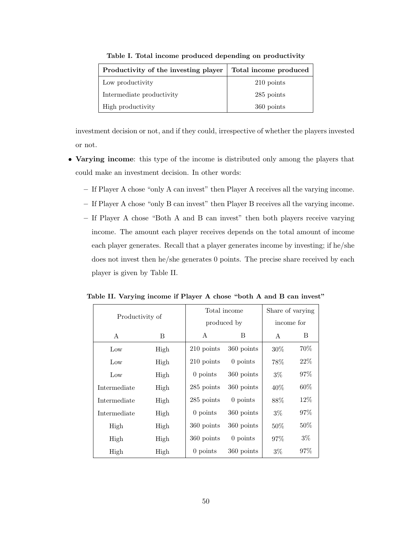<span id="page-52-0"></span>

| Productivity of the investing player | Total income produced |
|--------------------------------------|-----------------------|
| Low productivity                     | 210 points            |
| Intermediate productivity            | 285 points            |
| High productivity                    | 360 points            |

Table I. Total income produced depending on productivity

investment decision or not, and if they could, irrespective of whether the players invested or not.

- Varying income: this type of the income is distributed only among the players that could make an investment decision. In other words:
	- If Player A chose "only A can invest" then Player A receives all the varying income.
	- If Player A chose "only B can invest" then Player B receives all the varying income.
	- If Player A chose "Both A and B can invest" then both players receive varying income. The amount each player receives depends on the total amount of income each player generates. Recall that a player generates income by investing; if he/she does not invest then he/she generates 0 points. The precise share received by each player is given by Table [II.](#page-52-1)

| Productivity of |      |            | Total income | Share of varying |        |
|-----------------|------|------------|--------------|------------------|--------|
|                 |      |            | produced by  | income for       |        |
| A               | B    | A<br>Β     |              | A                | B      |
| Low             | High | 210 points | 360 points   | $30\%$           | 70%    |
| Low             | High | 210 points | 0 points     | 78%              | $22\%$ |
| Low             | High | $0$ points | 360 points   | $3\%$            | 97\%   |
| Intermediate    | High | 285 points | 360 points   | $40\%$           | $60\%$ |
| Intermediate    | High | 285 points | $0$ points   | 88%              | $12\%$ |
| Intermediate    | High | $0$ points | 360 points   | $3\%$            | 97%    |
| High            | High | 360 points | 360 points   | $50\%$           | $50\%$ |
| High            | High | 360 points | $0$ points   | 97%              | $3\%$  |
| High            | High | $0$ points | 360 points   | $3\%$            | 97\%   |

<span id="page-52-1"></span>Table II. Varying income if Player A chose "both A and B can invest"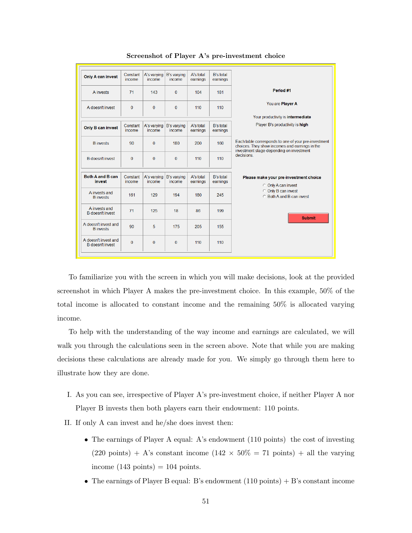| <b>Only A can invest</b>                        | Constant<br>income | A's varying<br>income | <b>B's varying</b><br>income | A's total<br>earnings | <b>B's total</b><br>earnings |                                                                                                                                                    |
|-------------------------------------------------|--------------------|-----------------------|------------------------------|-----------------------|------------------------------|----------------------------------------------------------------------------------------------------------------------------------------------------|
| A invests                                       | 71                 | 143                   | $\Omega$                     | 104                   | 181                          | Period #1                                                                                                                                          |
| A doesn't invest                                | $\Omega$           | $\mathbf{0}$          | $\Omega$                     | 110                   | 110                          | You are Player A                                                                                                                                   |
|                                                 |                    |                       |                              |                       |                              | Your productivity is intermediate                                                                                                                  |
| Only B can invest                               | Constant<br>income | A's varying<br>income | <b>B's varying</b><br>income | A's total<br>earnings | <b>B's total</b><br>earnings | Player B's productivity is high                                                                                                                    |
| <b>B</b> invests                                | 90                 | $\mathbf{0}$          | 180                          | 200                   | 160                          | Each table corresponds to one of your pre-investment<br>choices. They show incomes and earnings in the<br>investment stage depending on investment |
| <b>B</b> doesn't invest                         | $\bf{0}$           | $\bf{0}$              | $\Omega$                     | 110                   | 110                          | decisions.                                                                                                                                         |
|                                                 |                    |                       |                              |                       |                              |                                                                                                                                                    |
| Both A and B can<br>invest                      | Constant<br>income | A's varying<br>income | <b>B's varying</b><br>income | A's total<br>earnings | <b>B's total</b><br>earnings | Please make your pre-investment choice<br><b>C</b> Only A can invest                                                                               |
| A invests and<br><b>B</b> invests               | 161                | 129                   | 194                          | 180                   | 245                          | <b>C</b> Only B can invest<br><b>C</b> Both A and B can invest                                                                                     |
| A invests and<br><b>B</b> doesn't invest        | 71                 | 125                   | 18                           | 86                    | 199                          | <b>Submit</b>                                                                                                                                      |
| A doesn't invest and<br><b>B</b> invests        | 90                 | 5                     | 175                          | 205                   | 155                          |                                                                                                                                                    |
| A doesn't invest and<br><b>B</b> doesn't invest | $\Omega$           | $\bf{0}$              | $\Omega$                     | 110                   | 110                          |                                                                                                                                                    |
|                                                 |                    |                       |                              |                       |                              |                                                                                                                                                    |

Screenshot of Player A's pre-investment choice

To familiarize you with the screen in which you will make decisions, look at the provided screenshot in which Player A makes the pre-investment choice. In this example, 50% of the total income is allocated to constant income and the remaining 50% is allocated varying income.

To help with the understanding of the way income and earnings are calculated, we will walk you through the calculations seen in the screen above. Note that while you are making decisions these calculations are already made for you. We simply go through them here to illustrate how they are done.

I. As you can see, irrespective of Player A's pre-investment choice, if neither Player A nor Player B invests then both players earn their endowment: 110 points.

II. If only A can invest and he/she does invest then:

- The earnings of Player A equal: A's endowment (110 points) the cost of investing (220 points) + A's constant income (142  $\times$  50% = 71 points) + all the varying income  $(143 \text{ points}) = 104 \text{ points}.$
- The earnings of Player B equal: B's endowment  $(110 \text{ points}) + B$ 's constant income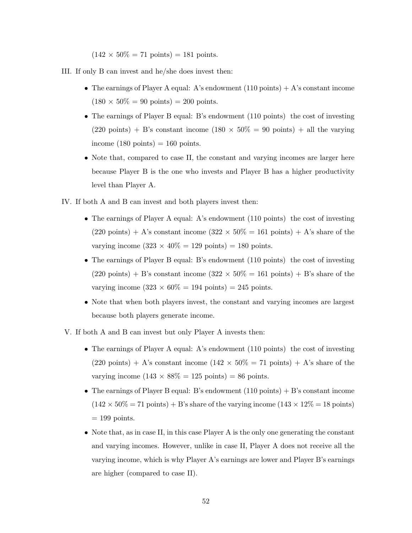$(142 \times 50\% = 71 \text{ points}) = 181 \text{ points}.$ 

- III. If only B can invest and he/she does invest then:
	- The earnings of Player A equal: A's endowment  $(110 \text{ points}) + A$ 's constant income  $(180 \times 50\% = 90 \text{ points}) = 200 \text{ points}.$
	- The earnings of Player B equal: B's endowment (110 points) the cost of investing  $(220 \text{ points}) + \text{B's constant income } (180 \times 50\% = 90 \text{ points}) + \text{all the varying}$ income  $(180 \text{ points}) = 160 \text{ points}.$
	- Note that, compared to case II, the constant and varying incomes are larger here because Player B is the one who invests and Player B has a higher productivity level than Player A.
- IV. If both A and B can invest and both players invest then:
	- The earnings of Player A equal: A's endowment (110 points) the cost of investing  $(220 \text{ points}) + A$ 's constant income  $(322 \times 50\% = 161 \text{ points}) + A$ 's share of the varying income  $(323 \times 40\% = 129 \text{ points}) = 180 \text{ points}.$
	- The earnings of Player B equal: B's endowment (110 points) the cost of investing  $(220 \text{ points}) + \text{B's constant income } (322 \times 50\% = 161 \text{ points}) + \text{B's share of the}$ varying income  $(323 \times 60\% = 194 \text{ points}) = 245 \text{ points}.$
	- Note that when both players invest, the constant and varying incomes are largest because both players generate income.
- V. If both A and B can invest but only Player A invests then:
	- The earnings of Player A equal: A's endowment (110 points) the cost of investing  $(220 \text{ points}) + A$ 's constant income  $(142 \times 50\% = 71 \text{ points}) + A$ 's share of the varying income  $(143 \times 88\% = 125 \text{ points}) = 86 \text{ points}.$
	- The earnings of Player B equal: B's endowment  $(110 \text{ points}) + B$ 's constant income  $(142 \times 50\% = 71 \text{ points}) + B$ 's share of the varying income  $(143 \times 12\% = 18 \text{ points})$  $= 199$  points.
	- Note that, as in case II, in this case Player A is the only one generating the constant and varying incomes. However, unlike in case II, Player A does not receive all the varying income, which is why Player A's earnings are lower and Player B's earnings are higher (compared to case II).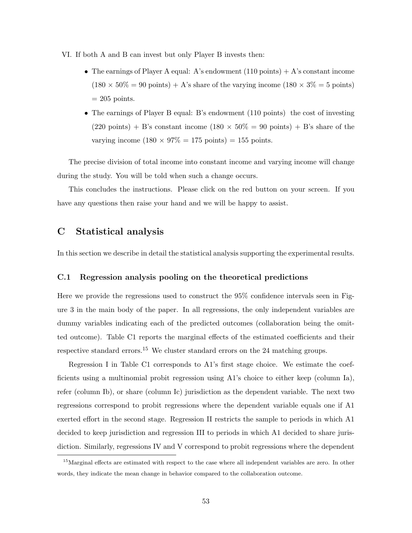VI. If both A and B can invest but only Player B invests then:

- The earnings of Player A equal: A's endowment  $(110 \text{ points}) + A$ 's constant income  $(180 \times 50\% = 90 \text{ points}) + A$ 's share of the varying income  $(180 \times 3\% = 5 \text{ points})$  $= 205$  points.
- The earnings of Player B equal: B's endowment (110 points) the cost of investing  $(220 \text{ points}) + B$ 's constant income  $(180 \times 50\% = 90 \text{ points}) + B$ 's share of the varying income  $(180 \times 97\% = 175 \text{ points}) = 155 \text{ points}.$

The precise division of total income into constant income and varying income will change during the study. You will be told when such a change occurs.

This concludes the instructions. Please click on the red button on your screen. If you have any questions then raise your hand and we will be happy to assist.

## C Statistical analysis

In this section we describe in detail the statistical analysis supporting the experimental results.

## C.1 Regression analysis pooling on the theoretical predictions

Here we provide the regressions used to construct the 95% confidence intervals seen in Figure [3](#page-21-0) in the main body of the paper. In all regressions, the only independent variables are dummy variables indicating each of the predicted outcomes (collaboration being the omitted outcome). Table [C1](#page-56-0) reports the marginal effects of the estimated coefficients and their respective standard errors.<sup>15</sup> We cluster standard errors on the 24 matching groups.

Regression I in Table [C1](#page-56-0) corresponds to A1's first stage choice. We estimate the coefficients using a multinomial probit regression using A1's choice to either keep (column Ia), refer (column Ib), or share (column Ic) jurisdiction as the dependent variable. The next two regressions correspond to probit regressions where the dependent variable equals one if A1 exerted effort in the second stage. Regression II restricts the sample to periods in which A1 decided to keep jurisdiction and regression III to periods in which A1 decided to share jurisdiction. Similarly, regressions IV and V correspond to probit regressions where the dependent

<sup>&</sup>lt;sup>15</sup>Marginal effects are estimated with respect to the case where all independent variables are zero. In other words, they indicate the mean change in behavior compared to the collaboration outcome.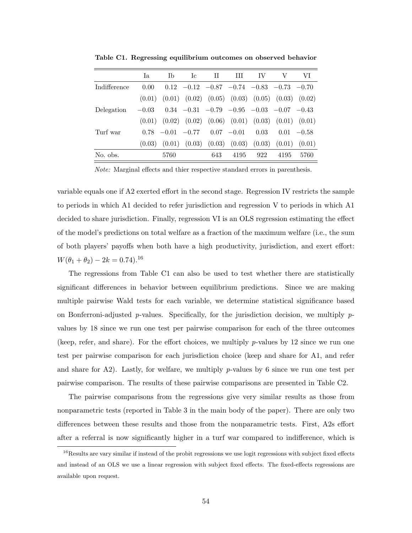|              | Ia      | Tb                 | Tc. | H   | Ш             | IV   | $\mathbf{V}$                                                            | VI            |
|--------------|---------|--------------------|-----|-----|---------------|------|-------------------------------------------------------------------------|---------------|
| Indifference | 0.00    |                    |     |     |               |      | $0.12$ $-0.12$ $-0.87$ $-0.74$ $-0.83$ $-0.73$ $-0.70$                  |               |
|              |         |                    |     |     |               |      | $(0.01)$ $(0.01)$ $(0.02)$ $(0.05)$ $(0.03)$ $(0.05)$ $(0.03)$ $(0.02)$ |               |
| Delegation   | $-0.03$ |                    |     |     |               |      | $0.34$ $-0.31$ $-0.79$ $-0.95$ $-0.03$ $-0.07$ $-0.43$                  |               |
|              |         |                    |     |     |               |      | $(0.01)$ $(0.02)$ $(0.02)$ $(0.06)$ $(0.01)$ $(0.03)$ $(0.01)$ $(0.01)$ |               |
| Turf war     |         | $0.78 -0.01 -0.77$ |     |     | $0.07 - 0.01$ | 0.03 |                                                                         | $0.01 - 0.58$ |
|              | (0.03)  |                    |     |     |               |      | $(0.01)$ $(0.03)$ $(0.03)$ $(0.03)$ $(0.03)$ $(0.01)$ $(0.01)$          |               |
| No. obs.     |         | 5760               |     | 643 | 4195          | 922  | 4195                                                                    | 5760          |
|              |         |                    |     |     |               |      |                                                                         |               |

<span id="page-56-0"></span>Table C1. Regressing equilibrium outcomes on observed behavior

Note: Marginal effects and thier respective standard errors in parenthesis.

variable equals one if A2 exerted effort in the second stage. Regression IV restricts the sample to periods in which A1 decided to refer jurisdiction and regression V to periods in which A1 decided to share jurisdiction. Finally, regression VI is an OLS regression estimating the effect of the model's predictions on total welfare as a fraction of the maximum welfare (i.e., the sum of both players' payoffs when both have a high productivity, jurisdiction, and exert effort:  $W(\theta_1 + \theta_2) - 2k = 0.74$ .<sup>16</sup>

The regressions from Table [C1](#page-56-0) can also be used to test whether there are statistically significant differences in behavior between equilibrium predictions. Since we are making multiple pairwise Wald tests for each variable, we determine statistical significance based on Bonferroni-adjusted p-values. Specifically, for the jurisdiction decision, we multiply  $p$ values by 18 since we run one test per pairwise comparison for each of the three outcomes (keep, refer, and share). For the effort choices, we multiply  $p$ -values by 12 since we run one test per pairwise comparison for each jurisdiction choice (keep and share for A1, and refer and share for  $A2$ ). Lastly, for welfare, we multiply p-values by 6 since we run one test per pairwise comparison. The results of these pairwise comparisons are presented in Table [C2.](#page-57-0)

The pairwise comparisons from the regressions give very similar results as those from nonparametric tests (reported in Table [3](#page-23-0) in the main body of the paper). There are only two differences between these results and those from the nonparametric tests. First, A2s effort after a referral is now significantly higher in a turf war compared to indifference, which is

 $16$ Results are vary similar if instead of the probit regressions we use logit regressions with subject fixed effects and instead of an OLS we use a linear regression with subject fixed effects. The fixed-effects regressions are available upon request.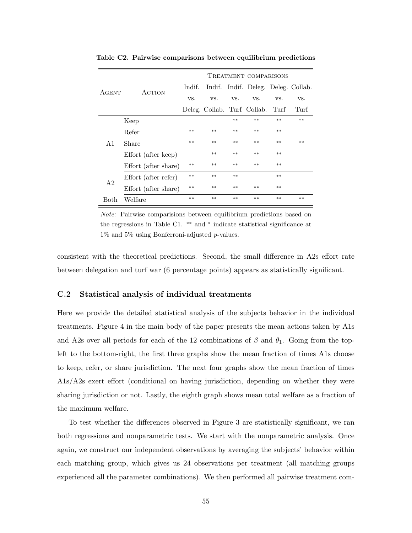|                |                      | TREATMENT COMPARISONS |                                  |       |       |       |                                     |  |
|----------------|----------------------|-----------------------|----------------------------------|-------|-------|-------|-------------------------------------|--|
| AGENT          | ACTION               | Indif.                |                                  |       |       |       | Indif. Indif. Deleg. Deleg. Collab. |  |
|                |                      | VS.                   | VS.                              | VS.   | VS.   | VS.   | VS.                                 |  |
|                |                      |                       | Deleg. Collab. Turf Collab. Turf |       |       |       | Turf                                |  |
|                | Keep                 |                       |                                  | $**$  | $***$ | $***$ | $***$                               |  |
| A1             | Refer                | $**$                  | $***$                            | $**$  | $***$ | $***$ |                                     |  |
|                | Share                | $***$                 | $***$                            | $**$  | $**$  | $**$  | $**$                                |  |
|                | Effort (after keep)  |                       | $***$                            | $***$ | $***$ | $***$ |                                     |  |
|                | Effort (after share) | $**$                  | $***$                            | $***$ | $***$ | $***$ |                                     |  |
| A <sub>2</sub> | Effort (after refer) | $**$                  | $***$                            | $***$ |       | $***$ |                                     |  |
|                | Effort (after share) | $**$                  | $***$                            | $***$ | $***$ | $***$ |                                     |  |
| Both           | Welfare              | $**$                  | $***$                            | $**$  | $***$ | $***$ | $***$                               |  |

<span id="page-57-0"></span>Table C2. Pairwise comparisons between equilibrium predictions

Note: Pairwise comparisions between equilibrium predictions based on the regressions in Table [C1.](#page-56-0) ∗∗ and <sup>∗</sup> indicate statistical significance at 1% and 5% using Bonferroni-adjusted p-values.

consistent with the theoretical predictions. Second, the small difference in A2s effort rate between delegation and turf war (6 percentage points) appears as statistically significant.

## C.2 Statistical analysis of individual treatments

Here we provide the detailed statistical analysis of the subjects behavior in the individual treatments. Figure [4](#page-26-0) in the main body of the paper presents the mean actions taken by A1s and A2s over all periods for each of the 12 combinations of  $\beta$  and  $\theta_1$ . Going from the topleft to the bottom-right, the first three graphs show the mean fraction of times A1s choose to keep, refer, or share jurisdiction. The next four graphs show the mean fraction of times A1s/A2s exert effort (conditional on having jurisdiction, depending on whether they were sharing jurisdiction or not. Lastly, the eighth graph shows mean total welfare as a fraction of the maximum welfare.

To test whether the differences observed in Figure [3](#page-21-0) are statistically significant, we ran both regressions and nonparametric tests. We start with the nonparametric analysis. Once again, we construct our independent observations by averaging the subjects' behavior within each matching group, which gives us 24 observations per treatment (all matching groups experienced all the parameter combinations). We then performed all pairwise treatment com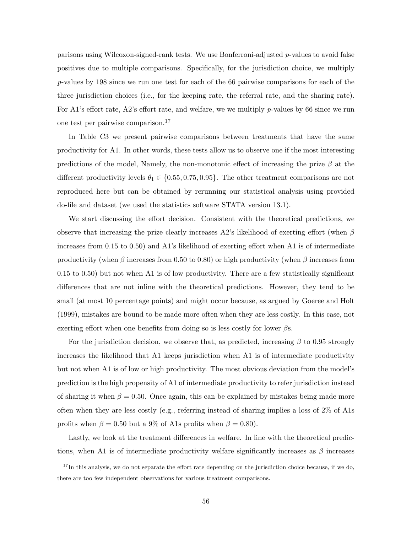parisons using Wilcoxon-signed-rank tests. We use Bonferroni-adjusted  $p$ -values to avoid false positives due to multiple comparisons. Specifically, for the jurisdiction choice, we multiply p-values by 198 since we run one test for each of the 66 pairwise comparisons for each of the three jurisdiction choices (i.e., for the keeping rate, the referral rate, and the sharing rate). For A1's effort rate, A2's effort rate, and welfare, we we multiply  $p$ -values by 66 since we run one test per pairwise comparison.<sup>17</sup>

In Table [C3](#page-59-0) we present pairwise comparisons between treatments that have the same productivity for A1. In other words, these tests allow us to observe one if the most interesting predictions of the model, Namely, the non-monotonic effect of increasing the prize  $\beta$  at the different productivity levels  $\theta_1 \in \{0.55, 0.75, 0.95\}$ . The other treatment comparisons are not reproduced here but can be obtained by rerunning our statistical analysis using provided do-file and dataset (we used the statistics software STATA version 13.1).

We start discussing the effort decision. Consistent with the theoretical predictions, we observe that increasing the prize clearly increases A2's likelihood of exerting effort (when  $\beta$ increases from 0.15 to 0.50) and A1's likelihood of exerting effort when A1 is of intermediate productivity (when β increases from 0.50 to 0.80) or high productivity (when β increases from 0.15 to 0.50) but not when A1 is of low productivity. There are a few statistically significant differences that are not inline with the theoretical predictions. However, they tend to be small (at most 10 percentage points) and might occur because, as argued by [Goeree and Holt](#page-39-16) [\(1999\)](#page-39-16), mistakes are bound to be made more often when they are less costly. In this case, not exerting effort when one benefits from doing so is less costly for lower  $\beta s$ .

For the jurisdiction decision, we observe that, as predicted, increasing  $\beta$  to 0.95 strongly increases the likelihood that A1 keeps jurisdiction when A1 is of intermediate productivity but not when A1 is of low or high productivity. The most obvious deviation from the model's prediction is the high propensity of A1 of intermediate productivity to refer jurisdiction instead of sharing it when  $\beta = 0.50$ . Once again, this can be explained by mistakes being made more often when they are less costly (e.g., referring instead of sharing implies a loss of 2% of A1s profits when  $\beta = 0.50$  but a 9% of A1s profits when  $\beta = 0.80$ .

Lastly, we look at the treatment differences in welfare. In line with the theoretical predictions, when A1 is of intermediate productivity welfare significantly increases as  $\beta$  increases

 $17$ In this analysis, we do not separate the effort rate depending on the jurisdiction choice because, if we do, there are too few independent observations for various treatment comparisons.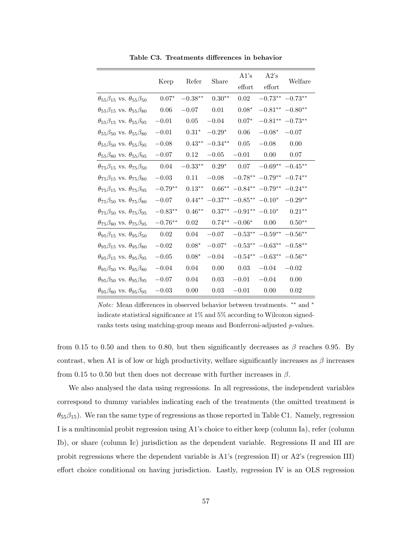<span id="page-59-0"></span>

|                                                     | Keep      | Refer     | Share     | A1's                | A2's                  | Welfare              |
|-----------------------------------------------------|-----------|-----------|-----------|---------------------|-----------------------|----------------------|
|                                                     |           |           |           | effort              | effort                |                      |
| $\theta_{55}\beta_{15}$ vs. $\theta_{55}\beta_{50}$ | $0.07*$   | $-0.38**$ | $0.30**$  | 0.02                | $-0.73***$ $-0.73***$ |                      |
| $\theta_{55}\beta_{15}$ vs. $\theta_{55}\beta_{80}$ | 0.06      | $-0.07$   | 0.01      | $0.08*$             |                       | $-0.81***$ $-0.80**$ |
| $\theta_{55}\beta_{15}$ vs. $\theta_{55}\beta_{95}$ | $-0.01$   | 0.05      | $-0.04$   | $0.07^{\ast}$       |                       | $-0.81***$ $-0.73**$ |
| $\theta_{55}\beta_{50}$ vs. $\theta_{55}\beta_{80}$ | $-0.01$   | $0.31*$   | $-0.29*$  | 0.06                | $-0.08*$              | $-0.07$              |
| $\theta_{55}\beta_{50}$ vs. $\theta_{55}\beta_{95}$ | $-0.08$   | $0.43***$ | $-0.34**$ | 0.05                | $-0.08$               | 0.00                 |
| $\theta_{55}\beta_{80}$ vs. $\theta_{55}\beta_{95}$ | $-0.07$   | 0.12      | $-0.05$   | $-0.01$             | 0.00                  | 0.07                 |
| $\theta_{75}\beta_{15}$ vs. $\theta_{75}\beta_{50}$ | 0.04      | $-0.33**$ | $0.29*$   | 0.07                | $-0.69**$ $-0.45**$   |                      |
| $\theta_{75}\beta_{15}$ vs. $\theta_{75}\beta_{80}$ | $-0.03$   | 0.11      | $-0.08$   | $-0.78**$           | $-0.79**$             | $-0.74**$            |
| $\theta_{75}\beta_{15}$ vs. $\theta_{75}\beta_{95}$ | $-0.79**$ | $0.13**$  | $0.66**$  | $-0.84**$           | $-0.79**$             | $-0.24**$            |
| $\theta_{75}\beta_{50}$ vs. $\theta_{75}\beta_{80}$ | $-0.07$   | $0.44**$  | $-0.37**$ | $-0.85***$ $-0.10*$ |                       | $-0.29**$            |
| $\theta_{75}\beta_{50}$ vs. $\theta_{75}\beta_{95}$ | $-0.83**$ | $0.46**$  | $0.37**$  | $-0.91** -0.10*$    |                       | $0.21**$             |
| $\theta_{75}\beta_{80}$ vs. $\theta_{75}\beta_{95}$ | $-0.76**$ | 0.02      | $0.74**$  | $-0.06*$            | 0.00                  | $0.50**$             |
| $\theta_{95}\beta_{15}$ vs. $\theta_{95}\beta_{50}$ | 0.02      | 0.04      | $-0.07$   | $-0.53^{\ast\ast}$  | $-0.59^{\ast\ast}$    | $-0.56**$            |
| $\theta_{95}\beta_{15}$ vs. $\theta_{95}\beta_{80}$ | $-0.02$   | $0.08*$   | $-0.07*$  | $-0.53**$           | $-0.63**$             | $-0.58**$            |
| $\theta_{95}\beta_{15}$ vs. $\theta_{95}\beta_{95}$ | $-0.05$   | $0.08*$   | $-0.04$   | $-0.54***$          | $-0.63**$             | $-0.56**$            |
| $\theta_{95}\beta_{50}$ vs. $\theta_{95}\beta_{80}$ | $-0.04$   | 0.04      | 0.00      | 0.03                | $-0.04$               | $-0.02$              |
| $\theta_{95}\beta_{50}$ vs. $\theta_{95}\beta_{95}$ | $-0.07$   | 0.04      | 0.03      | $-0.01$             | $-0.04$               | 0.00                 |
| $\theta_{95}\beta_{80}$ vs. $\theta_{95}\beta_{95}$ | $-0.03$   | 0.00      | 0.03      | $-0.01$             | 0.00                  | 0.02                 |

Table C3. Treatments differences in behavior

Note: Mean differences in observed behavior between treatments. ∗∗ and <sup>∗</sup> indicate statistical significance at 1% and 5% according to Wilcoxon signedranks tests using matching-group means and Bonferroni-adjusted p-values.

from 0.15 to 0.50 and then to 0.80, but then significantly decreases as  $\beta$  reaches 0.95. By contrast, when A1 is of low or high productivity, welfare significantly increases as  $\beta$  increases from 0.15 to 0.50 but then does not decrease with further increases in  $\beta$ .

We also analysed the data using regressions. In all regressions, the independent variables correspond to dummy variables indicating each of the treatments (the omitted treatment is  $\theta_{55}\beta_{15}$ ). We ran the same type of regressions as those reported in Table [C1.](#page-56-0) Namely, regression I is a multinomial probit regression using A1's choice to either keep (column Ia), refer (column Ib), or share (column Ic) jurisdiction as the dependent variable. Regressions II and III are probit regressions where the dependent variable is A1's (regression II) or A2's (regression III) effort choice conditional on having jurisdiction. Lastly, regression IV is an OLS regression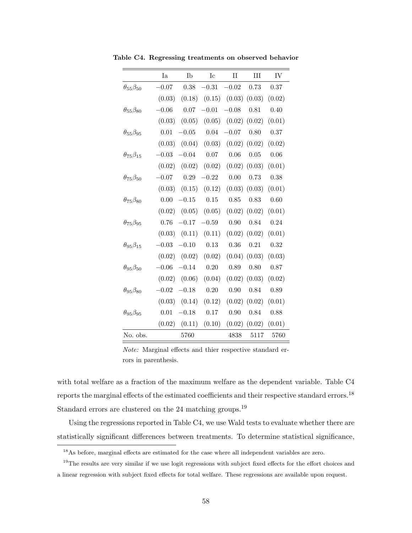|                         | Ia      | Ib       | Ic       | $\rm II$          | III    | IV       |
|-------------------------|---------|----------|----------|-------------------|--------|----------|
| $\theta_{55}\beta_{50}$ | $-0.07$ | 0.38     | $-0.31$  | $-0.02$           | 0.73   | 0.37     |
|                         | (0.03)  | (0.18)   | (0.15)   | $(0.03)$ $(0.03)$ |        | (0.02)   |
| $\theta_{55}\beta_{80}$ | $-0.06$ | $0.07\,$ | $-0.01$  | $-0.08$           | 0.81   | 0.40     |
|                         | (0.03)  | (0.05)   | (0.05)   | (0.02)            | (0.02) | (0.01)   |
| $\theta_{55}\beta_{95}$ | 0.01    | $-0.05$  | 0.04     | $-0.07$           | 0.80   | $0.37\,$ |
|                         | (0.03)  | (0.04)   | (0.03)   | (0.02)            | (0.02) | (0.02)   |
| $\theta_{75}\beta_{15}$ | $-0.03$ | $-0.04$  | $0.07\,$ | 0.06              | 0.05   | 0.06     |
|                         | (0.02)  | (0.02)   | (0.02)   | (0.02)            | (0.03) | (0.01)   |
| $\theta_{75}\beta_{50}$ | $-0.07$ | 0.29     | $-0.22$  | 0.00              | 0.73   | 0.38     |
|                         | (0.03)  | (0.15)   | (0.12)   | (0.03)            | (0.03) | (0.01)   |
| $\theta_{75}\beta_{80}$ | 0.00    | $-0.15$  | 0.15     | 0.85              | 0.83   | 0.60     |
|                         | (0.02)  | (0.05)   | (0.05)   | (0.02)            | (0.02) | (0.01)   |
| $\theta_{75}\beta_{95}$ | 0.76    | $-0.17$  | $-0.59$  | 0.90              | 0.84   | 0.24     |
|                         | (0.03)  | (0.11)   | (0.11)   | (0.02)            | (0.02) | (0.01)   |
| $\theta_{95}\beta_{15}$ | $-0.03$ | $-0.10$  | 0.13     | 0.36              | 0.21   | 0.32     |
|                         | (0.02)  | (0.02)   | (0.02)   | (0.04)            | (0.03) | (0.03)   |
| $\theta_{95}\beta_{50}$ | $-0.06$ | $-0.14$  | 0.20     | 0.89              | 0.80   | 0.87     |
|                         | (0.02)  | (0.06)   | (0.04)   | (0.02)            | (0.03) | (0.02)   |
| $\theta_{95}\beta_{80}$ | $-0.02$ | $-0.18$  | 0.20     | 0.90              | 0.84   | 0.89     |
|                         | (0.03)  | (0.14)   | (0.12)   | (0.02)            | (0.02) | (0.01)   |
| $\theta_{95}\beta_{95}$ | 0.01    | $-0.18$  | 0.17     | 0.90              | 0.84   | 0.88     |
|                         | (0.02)  | (0.11)   | (0.10)   | (0.02)            | (0.02) | (0.01)   |
| No. obs.                |         | 5760     |          | 4838              | 5117   | 5760     |

<span id="page-60-0"></span>Table C4. Regressing treatments on observed behavior

Note: Marginal effects and thier respective standard errors in parenthesis.

with total welfare as a fraction of the maximum welfare as the dependent variable. Table [C4](#page-60-0) reports the marginal effects of the estimated coefficients and their respective standard errors.<sup>18</sup> Standard errors are clustered on the 24 matching groups.<sup>19</sup>

Using the regressions reported in Table [C4,](#page-60-0) we use Wald tests to evaluate whether there are statistically significant differences between treatments. To determine statistical significance,

<sup>18</sup>As before, marginal effects are estimated for the case where all independent variables are zero.

<sup>&</sup>lt;sup>19</sup>The results are very similar if we use logit regressions with subject fixed effects for the effort choices and a linear regression with subject fixed effects for total welfare. These regressions are available upon request.